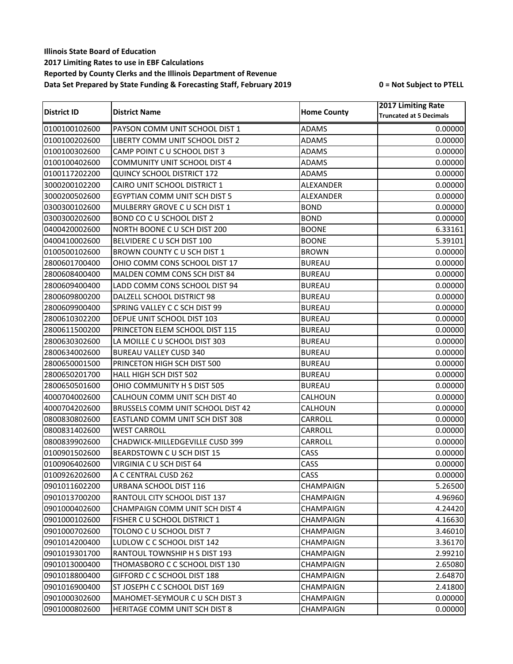**Illinois State Board of Education 2017 Limiting Rates to use in EBF Calculations Reported by County Clerks and the Illinois Department of Revenue Data Set Prepared by State Funding & Forecasting Staff, February 2019 0 = Not Subject to PTELL**

|                    | <b>District Name</b>              |                    | 2017 Limiting Rate             |
|--------------------|-----------------------------------|--------------------|--------------------------------|
| <b>District ID</b> |                                   | <b>Home County</b> | <b>Truncated at 5 Decimals</b> |
| 0100100102600      | PAYSON COMM UNIT SCHOOL DIST 1    | <b>ADAMS</b>       | 0.00000                        |
| 0100100202600      | LIBERTY COMM UNIT SCHOOL DIST 2   | <b>ADAMS</b>       | 0.00000                        |
| 0100100302600      | CAMP POINT CU SCHOOL DIST 3       | <b>ADAMS</b>       | 0.00000                        |
| 0100100402600      | COMMUNITY UNIT SCHOOL DIST 4      | <b>ADAMS</b>       | 0.00000                        |
| 0100117202200      | <b>QUINCY SCHOOL DISTRICT 172</b> | <b>ADAMS</b>       | 0.00000                        |
| 3000200102200      | CAIRO UNIT SCHOOL DISTRICT 1      | ALEXANDER          | 0.00000                        |
| 3000200502600      | EGYPTIAN COMM UNIT SCH DIST 5     | ALEXANDER          | 0.00000                        |
| 0300300102600      | MULBERRY GROVE C U SCH DIST 1     | <b>BOND</b>        | 0.00000                        |
| 0300300202600      | BOND CO C U SCHOOL DIST 2         | <b>BOND</b>        | 0.00000                        |
| 0400420002600      | NORTH BOONE C U SCH DIST 200      | <b>BOONE</b>       | 6.33161                        |
| 0400410002600      | BELVIDERE C U SCH DIST 100        | <b>BOONE</b>       | 5.39101                        |
| 0100500102600      | BROWN COUNTY CU SCH DIST 1        | <b>BROWN</b>       | 0.00000                        |
| 2800601700400      | OHIO COMM CONS SCHOOL DIST 17     | <b>BUREAU</b>      | 0.00000                        |
| 2800608400400      | MALDEN COMM CONS SCH DIST 84      | <b>BUREAU</b>      | 0.00000                        |
| 2800609400400      | LADD COMM CONS SCHOOL DIST 94     | <b>BUREAU</b>      | 0.00000                        |
| 2800609800200      | DALZELL SCHOOL DISTRICT 98        | <b>BUREAU</b>      | 0.00000                        |
| 2800609900400      | SPRING VALLEY C C SCH DIST 99     | <b>BUREAU</b>      | 0.00000                        |
| 2800610302200      | DEPUE UNIT SCHOOL DIST 103        | <b>BUREAU</b>      | 0.00000                        |
| 2800611500200      | PRINCETON ELEM SCHOOL DIST 115    | <b>BUREAU</b>      | 0.00000                        |
| 2800630302600      | LA MOILLE CU SCHOOL DIST 303      | <b>BUREAU</b>      | 0.00000                        |
| 2800634002600      | <b>BUREAU VALLEY CUSD 340</b>     | <b>BUREAU</b>      | 0.00000                        |
| 2800650001500      | PRINCETON HIGH SCH DIST 500       | <b>BUREAU</b>      | 0.00000                        |
| 2800650201700      | HALL HIGH SCH DIST 502            | <b>BUREAU</b>      | 0.00000                        |
| 2800650501600      | OHIO COMMUNITY H S DIST 505       | <b>BUREAU</b>      | 0.00000                        |
| 4000704002600      | CALHOUN COMM UNIT SCH DIST 40     | CALHOUN            | 0.00000                        |
| 4000704202600      | BRUSSELS COMM UNIT SCHOOL DIST 42 | CALHOUN            | 0.00000                        |
| 0800830802600      | EASTLAND COMM UNIT SCH DIST 308   | CARROLL            | 0.00000                        |
| 0800831402600      | <b>WEST CARROLL</b>               | CARROLL            | 0.00000                        |
| 0800839902600      | CHADWICK-MILLEDGEVILLE CUSD 399   | CARROLL            | 0.00000                        |
| 0100901502600      | BEARDSTOWN C U SCH DIST 15        | CASS               | 0.00000                        |
| 0100906402600      | VIRGINIA C U SCH DIST 64          | CASS               | 0.00000                        |
| 0100926202600      | A C CENTRAL CUSD 262              | CASS               | 0.00000                        |
| 0901011602200      | URBANA SCHOOL DIST 116            | <b>CHAMPAIGN</b>   | 5.26500                        |
| 0901013700200      | RANTOUL CITY SCHOOL DIST 137      | CHAMPAIGN          | 4.96960                        |
| 0901000402600      | CHAMPAIGN COMM UNIT SCH DIST 4    | CHAMPAIGN          | 4.24420                        |
| 0901000102600      | FISHER CU SCHOOL DISTRICT 1       | <b>CHAMPAIGN</b>   | 4.16630                        |
| 0901000702600      | TOLONO C U SCHOOL DIST 7          | CHAMPAIGN          | 3.46010                        |
| 0901014200400      | LUDLOW C C SCHOOL DIST 142        | <b>CHAMPAIGN</b>   | 3.36170                        |
| 0901019301700      | RANTOUL TOWNSHIP H S DIST 193     | <b>CHAMPAIGN</b>   | 2.99210                        |
| 0901013000400      | THOMASBORO C C SCHOOL DIST 130    | <b>CHAMPAIGN</b>   | 2.65080                        |
| 0901018800400      | GIFFORD C C SCHOOL DIST 188       | <b>CHAMPAIGN</b>   | 2.64870                        |
| 0901016900400      | ST JOSEPH C C SCHOOL DIST 169     | CHAMPAIGN          | 2.41800                        |
| 0901000302600      | MAHOMET-SEYMOUR C U SCH DIST 3    | CHAMPAIGN          | 0.00000                        |
| 0901000802600      | HERITAGE COMM UNIT SCH DIST 8     | <b>CHAMPAIGN</b>   | 0.00000                        |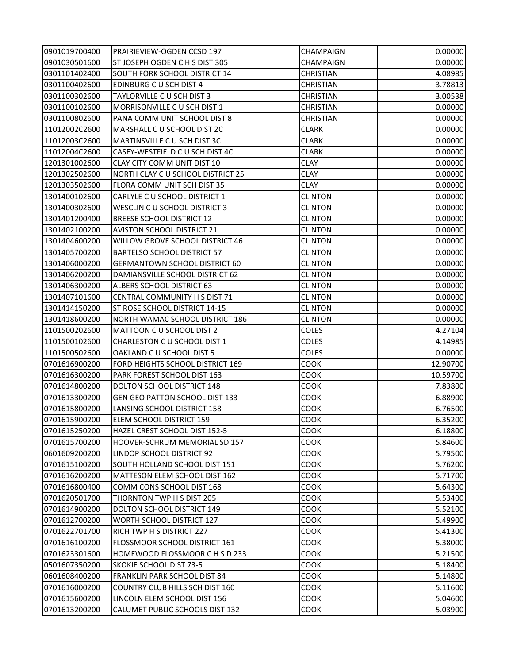| 0901019700400 | PRAIRIEVIEW-OGDEN CCSD 197             | CHAMPAIGN        | 0.00000  |
|---------------|----------------------------------------|------------------|----------|
| 0901030501600 | ST JOSEPH OGDEN C H S DIST 305         | CHAMPAIGN        | 0.00000  |
| 0301101402400 | <b>SOUTH FORK SCHOOL DISTRICT 14</b>   | <b>CHRISTIAN</b> | 4.08985  |
| 0301100402600 | EDINBURG C U SCH DIST 4                | <b>CHRISTIAN</b> | 3.78813  |
| 0301100302600 | TAYLORVILLE C U SCH DIST 3             | <b>CHRISTIAN</b> | 3.00538  |
| 0301100102600 | MORRISONVILLE C U SCH DIST 1           | <b>CHRISTIAN</b> | 0.00000  |
| 0301100802600 | PANA COMM UNIT SCHOOL DIST 8           | <b>CHRISTIAN</b> | 0.00000  |
| 11012002C2600 | MARSHALL C U SCHOOL DIST 2C            | <b>CLARK</b>     | 0.00000  |
| 11012003C2600 | MARTINSVILLE C U SCH DIST 3C           | <b>CLARK</b>     | 0.00000  |
| 11012004C2600 | CASEY-WESTFIELD C U SCH DIST 4C        | <b>CLARK</b>     | 0.00000  |
| 1201301002600 | CLAY CITY COMM UNIT DIST 10            | <b>CLAY</b>      | 0.00000  |
| 1201302502600 | NORTH CLAY C U SCHOOL DISTRICT 25      | <b>CLAY</b>      | 0.00000  |
| 1201303502600 | FLORA COMM UNIT SCH DIST 35            | <b>CLAY</b>      | 0.00000  |
| 1301400102600 | CARLYLE C U SCHOOL DISTRICT 1          | <b>CLINTON</b>   | 0.00000  |
| 1301400302600 | WESCLIN C U SCHOOL DISTRICT 3          | <b>CLINTON</b>   | 0.00000  |
| 1301401200400 | <b>BREESE SCHOOL DISTRICT 12</b>       | <b>CLINTON</b>   | 0.00000  |
| 1301402100200 | <b>AVISTON SCHOOL DISTRICT 21</b>      | <b>CLINTON</b>   | 0.00000  |
| 1301404600200 | WILLOW GROVE SCHOOL DISTRICT 46        | <b>CLINTON</b>   | 0.00000  |
| 1301405700200 | <b>BARTELSO SCHOOL DISTRICT 57</b>     | <b>CLINTON</b>   | 0.00000  |
| 1301406000200 | <b>GERMANTOWN SCHOOL DISTRICT 60</b>   | <b>CLINTON</b>   | 0.00000  |
| 1301406200200 | DAMIANSVILLE SCHOOL DISTRICT 62        | <b>CLINTON</b>   | 0.00000  |
| 1301406300200 | ALBERS SCHOOL DISTRICT 63              | <b>CLINTON</b>   | 0.00000  |
| 1301407101600 | <b>CENTRAL COMMUNITY H S DIST 71</b>   | <b>CLINTON</b>   | 0.00000  |
| 1301414150200 | ST ROSE SCHOOL DISTRICT 14-15          | <b>CLINTON</b>   | 0.00000  |
| 1301418600200 | NORTH WAMAC SCHOOL DISTRICT 186        | <b>CLINTON</b>   | 0.00000  |
| 1101500202600 | <b>MATTOON C U SCHOOL DIST 2</b>       | <b>COLES</b>     | 4.27104  |
| 1101500102600 | CHARLESTON C U SCHOOL DIST 1           | <b>COLES</b>     | 4.14985  |
| 1101500502600 | OAKLAND C U SCHOOL DIST 5              | <b>COLES</b>     | 0.00000  |
| 0701616900200 | FORD HEIGHTS SCHOOL DISTRICT 169       | COOK             | 12.90700 |
| 0701616300200 | PARK FOREST SCHOOL DIST 163            | COOK             | 10.59700 |
| 0701614800200 | DOLTON SCHOOL DISTRICT 148             | COOK             | 7.83800  |
| 0701613300200 | GEN GEO PATTON SCHOOL DIST 133         | COOK             | 6.88900  |
| 0701615800200 | LANSING SCHOOL DISTRICT 158            | <b>COOK</b>      | 6.76500  |
| 0701615900200 | ELEM SCHOOL DISTRICT 159               | <b>COOK</b>      | 6.35200  |
| 0701615250200 | HAZEL CREST SCHOOL DIST 152-5          | <b>COOK</b>      | 6.18800  |
| 0701615700200 | <b>HOOVER-SCHRUM MEMORIAL SD 157</b>   | COOK             | 5.84600  |
| 0601609200200 | LINDOP SCHOOL DISTRICT 92              | <b>COOK</b>      | 5.79500  |
| 0701615100200 | SOUTH HOLLAND SCHOOL DIST 151          | <b>COOK</b>      | 5.76200  |
| 0701616200200 | <b>MATTESON ELEM SCHOOL DIST 162</b>   | <b>COOK</b>      | 5.71700  |
| 0701616800400 | COMM CONS SCHOOL DIST 168              | COOK             | 5.64300  |
| 0701620501700 | THORNTON TWP H S DIST 205              | COOK             | 5.53400  |
| 0701614900200 | DOLTON SCHOOL DISTRICT 149             | <b>COOK</b>      | 5.52100  |
| 0701612700200 | WORTH SCHOOL DISTRICT 127              | COOK             | 5.49900  |
| 0701622701700 | RICH TWP H S DISTRICT 227              | COOK             | 5.41300  |
| 0701616100200 | FLOSSMOOR SCHOOL DISTRICT 161          | COOK             | 5.38000  |
| 0701623301600 | HOMEWOOD FLOSSMOOR C H S D 233         | COOK             | 5.21500  |
| 0501607350200 | <b>SKOKIE SCHOOL DIST 73-5</b>         | <b>COOK</b>      | 5.18400  |
| 0601608400200 | FRANKLIN PARK SCHOOL DIST 84           | COOK             | 5.14800  |
| 0701616000200 | <b>COUNTRY CLUB HILLS SCH DIST 160</b> | COOK             | 5.11600  |
| 0701615600200 | LINCOLN ELEM SCHOOL DIST 156           | COOK             | 5.04600  |
| 0701613200200 | CALUMET PUBLIC SCHOOLS DIST 132        | COOK             | 5.03900  |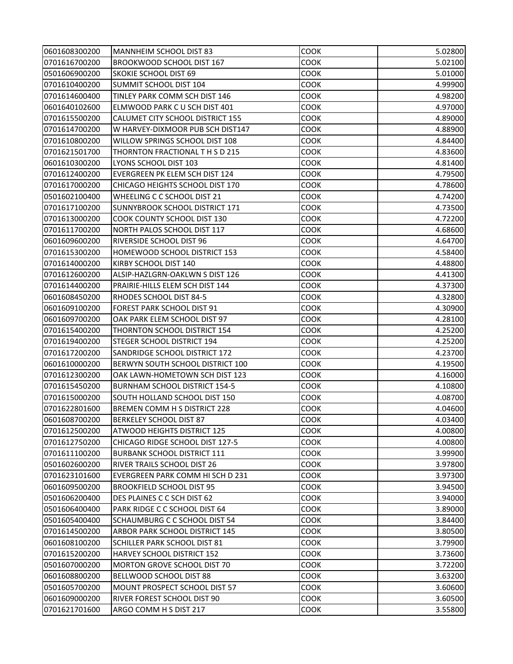| 0601608300200 | <b>MANNHEIM SCHOOL DIST 83</b>         | COOK | 5.02800 |
|---------------|----------------------------------------|------|---------|
| 0701616700200 | BROOKWOOD SCHOOL DIST 167              | COOK | 5.02100 |
| 0501606900200 | <b>SKOKIE SCHOOL DIST 69</b>           | COOK | 5.01000 |
| 0701610400200 | SUMMIT SCHOOL DIST 104                 | COOK | 4.99900 |
| 0701614600400 | TINLEY PARK COMM SCH DIST 146          | COOK | 4.98200 |
| 0601640102600 | ELMWOOD PARK C U SCH DIST 401          | COOK | 4.97000 |
| 0701615500200 | CALUMET CITY SCHOOL DISTRICT 155       | COOK | 4.89000 |
| 0701614700200 | W HARVEY-DIXMOOR PUB SCH DIST147       | COOK | 4.88900 |
| 0701610800200 | WILLOW SPRINGS SCHOOL DIST 108         | COOK | 4.84400 |
| 0701621501700 | THORNTON FRACTIONAL THSD 215           | соок | 4.83600 |
| 0601610300200 | LYONS SCHOOL DIST 103                  | COOK | 4.81400 |
| 0701612400200 | EVERGREEN PK ELEM SCH DIST 124         | COOK | 4.79500 |
| 0701617000200 | <b>CHICAGO HEIGHTS SCHOOL DIST 170</b> | COOK | 4.78600 |
| 0501602100400 | WHEELING C C SCHOOL DIST 21            | COOK | 4.74200 |
| 0701617100200 | <b>SUNNYBROOK SCHOOL DISTRICT 171</b>  | COOK | 4.73500 |
| 0701613000200 | COOK COUNTY SCHOOL DIST 130            | COOK | 4.72200 |
| 0701611700200 | NORTH PALOS SCHOOL DIST 117            | COOK | 4.68600 |
| 0601609600200 | RIVERSIDE SCHOOL DIST 96               | COOK | 4.64700 |
| 0701615300200 | <b>HOMEWOOD SCHOOL DISTRICT 153</b>    | COOK | 4.58400 |
| 0701614000200 | KIRBY SCHOOL DIST 140                  | COOK | 4.48800 |
| 0701612600200 | ALSIP-HAZLGRN-OAKLWN S DIST 126        | COOK | 4.41300 |
| 0701614400200 | PRAIRIE-HILLS ELEM SCH DIST 144        | COOK | 4.37300 |
| 0601608450200 | RHODES SCHOOL DIST 84-5                | COOK | 4.32800 |
| 0601609100200 | <b>FOREST PARK SCHOOL DIST 91</b>      | соок | 4.30900 |
| 0601609700200 | OAK PARK ELEM SCHOOL DIST 97           | COOK | 4.28100 |
| 0701615400200 | THORNTON SCHOOL DISTRICT 154           | COOK | 4.25200 |
| 0701619400200 | STEGER SCHOOL DISTRICT 194             | COOK | 4.25200 |
| 0701617200200 | SANDRIDGE SCHOOL DISTRICT 172          | COOK | 4.23700 |
| 0601610000200 | BERWYN SOUTH SCHOOL DISTRICT 100       | COOK | 4.19500 |
| 0701612300200 | OAK LAWN-HOMETOWN SCH DIST 123         | COOK | 4.16000 |
| 0701615450200 | <b>BURNHAM SCHOOL DISTRICT 154-5</b>   | COOK | 4.10800 |
| 0701615000200 | <b>SOUTH HOLLAND SCHOOL DIST 150</b>   | COOK | 4.08700 |
| 0701622801600 | <b>BREMEN COMM H S DISTRICT 228</b>    | соок | 4.04600 |
| 0601608700200 | <b>BERKELEY SCHOOL DIST 87</b>         | COOK | 4.03400 |
| 0701612500200 | <b>ATWOOD HEIGHTS DISTRICT 125</b>     | COOK | 4.00800 |
| 0701612750200 | <b>CHICAGO RIDGE SCHOOL DIST 127-5</b> | COOK | 4.00800 |
| 0701611100200 | <b>BURBANK SCHOOL DISTRICT 111</b>     | COOK | 3.99900 |
| 0501602600200 | <b>RIVER TRAILS SCHOOL DIST 26</b>     | COOK | 3.97800 |
| 0701623101600 | EVERGREEN PARK COMM HI SCH D 231       | COOK | 3.97300 |
| 0601609500200 | <b>BROOKFIELD SCHOOL DIST 95</b>       | COOK | 3.94500 |
| 0501606200400 | DES PLAINES C C SCH DIST 62            | COOK | 3.94000 |
| 0501606400400 | PARK RIDGE C C SCHOOL DIST 64          | COOK | 3.89000 |
| 0501605400400 | SCHAUMBURG C C SCHOOL DIST 54          | COOK | 3.84400 |
| 0701614500200 | <b>ARBOR PARK SCHOOL DISTRICT 145</b>  | COOK | 3.80500 |
| 0601608100200 | <b>SCHILLER PARK SCHOOL DIST 81</b>    | COOK | 3.79900 |
| 0701615200200 | HARVEY SCHOOL DISTRICT 152             | соок | 3.73600 |
| 0501607000200 | MORTON GROVE SCHOOL DIST 70            | COOK | 3.72200 |
| 0601608800200 | BELLWOOD SCHOOL DIST 88                | COOK | 3.63200 |
| 0501605700200 | MOUNT PROSPECT SCHOOL DIST 57          | COOK | 3.60600 |
| 0601609000200 | RIVER FOREST SCHOOL DIST 90            | COOK | 3.60500 |
| 0701621701600 | ARGO COMM H S DIST 217                 | COOK | 3.55800 |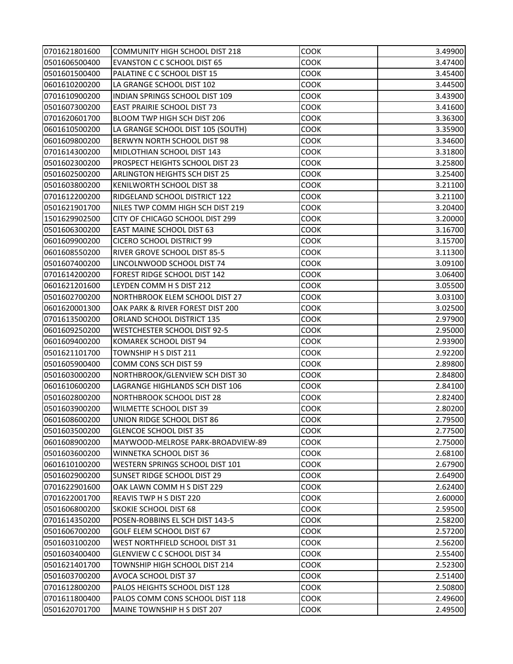| 0701621801600 | <b>COMMUNITY HIGH SCHOOL DIST 218</b> | COOK        | 3.49900 |
|---------------|---------------------------------------|-------------|---------|
| 0501606500400 | <b>EVANSTON C C SCHOOL DIST 65</b>    | COOK        | 3.47400 |
| 0501601500400 | PALATINE C C SCHOOL DIST 15           | COOK        | 3.45400 |
| 0601610200200 | LA GRANGE SCHOOL DIST 102             | COOK        | 3.44500 |
| 0701610900200 | INDIAN SPRINGS SCHOOL DIST 109        | COOK        | 3.43900 |
| 0501607300200 | <b>EAST PRAIRIE SCHOOL DIST 73</b>    | COOK        | 3.41600 |
| 0701620601700 | BLOOM TWP HIGH SCH DIST 206           | COOK        | 3.36300 |
| 0601610500200 | LA GRANGE SCHOOL DIST 105 (SOUTH)     | COOK        | 3.35900 |
| 0601609800200 | BERWYN NORTH SCHOOL DIST 98           | COOK        | 3.34600 |
| 0701614300200 | MIDLOTHIAN SCHOOL DIST 143            | COOK        | 3.31800 |
| 0501602300200 | PROSPECT HEIGHTS SCHOOL DIST 23       | COOK        | 3.25800 |
| 0501602500200 | ARLINGTON HEIGHTS SCH DIST 25         | COOK        | 3.25400 |
| 0501603800200 | KENILWORTH SCHOOL DIST 38             | COOK        | 3.21100 |
| 0701612200200 | RIDGELAND SCHOOL DISTRICT 122         | COOK        | 3.21100 |
| 0501621901700 | NILES TWP COMM HIGH SCH DIST 219      | COOK        | 3.20400 |
| 1501629902500 | CITY OF CHICAGO SCHOOL DIST 299       | COOK        | 3.20000 |
| 0501606300200 | <b>EAST MAINE SCHOOL DIST 63</b>      | COOK        | 3.16700 |
| 0601609900200 | <b>CICERO SCHOOL DISTRICT 99</b>      | COOK        | 3.15700 |
| 0601608550200 | RIVER GROVE SCHOOL DIST 85-5          | COOK        | 3.11300 |
| 0501607400200 | LINCOLNWOOD SCHOOL DIST 74            | COOK        | 3.09100 |
| 0701614200200 | FOREST RIDGE SCHOOL DIST 142          | COOK        | 3.06400 |
| 0601621201600 | LEYDEN COMM H S DIST 212              | COOK        | 3.05500 |
| 0501602700200 | NORTHBROOK ELEM SCHOOL DIST 27        | COOK        | 3.03100 |
| 0601620001300 | OAK PARK & RIVER FOREST DIST 200      | COOK        | 3.02500 |
| 0701613500200 | ORLAND SCHOOL DISTRICT 135            | COOK        | 2.97900 |
| 0601609250200 | WESTCHESTER SCHOOL DIST 92-5          | COOK        | 2.95000 |
| 0601609400200 | KOMAREK SCHOOL DIST 94                | COOK        | 2.93900 |
| 0501621101700 | TOWNSHIP H S DIST 211                 | COOK        | 2.92200 |
| 0501605900400 | COMM CONS SCH DIST 59                 | COOK        | 2.89800 |
| 0501603000200 | NORTHBROOK/GLENVIEW SCH DIST 30       | COOK        | 2.84800 |
| 0601610600200 | LAGRANGE HIGHLANDS SCH DIST 106       | <b>COOK</b> | 2.84100 |
| 0501602800200 | NORTHBROOK SCHOOL DIST 28             | COOK        | 2.82400 |
| 0501603900200 | WILMETTE SCHOOL DIST 39               | COOK        | 2.80200 |
| 0601608600200 | UNION RIDGE SCHOOL DIST 86            | COOK        | 2.79500 |
| 0501603500200 | <b>GLENCOE SCHOOL DIST 35</b>         | <b>COOK</b> | 2.77500 |
| 0601608900200 | MAYWOOD-MELROSE PARK-BROADVIEW-89     | COOK        | 2.75000 |
| 0501603600200 | WINNETKA SCHOOL DIST 36               | соок        | 2.68100 |
| 0601610100200 | WESTERN SPRINGS SCHOOL DIST 101       | соок        | 2.67900 |
| 0501602900200 | SUNSET RIDGE SCHOOL DIST 29           | COOK        | 2.64900 |
| 0701622901600 | OAK LAWN COMM H S DIST 229            | COOK        | 2.62400 |
| 0701622001700 | <b>REAVIS TWP H S DIST 220</b>        | COOK        | 2.60000 |
| 0501606800200 | <b>SKOKIE SCHOOL DIST 68</b>          | соок        | 2.59500 |
| 0701614350200 | POSEN-ROBBINS EL SCH DIST 143-5       | COOK        | 2.58200 |
| 0501606700200 | GOLF ELEM SCHOOL DIST 67              | COOK        | 2.57200 |
| 0501603100200 | WEST NORTHFIELD SCHOOL DIST 31        | COOK        | 2.56200 |
| 0501603400400 | GLENVIEW C C SCHOOL DIST 34           | COOK        | 2.55400 |
| 0501621401700 | TOWNSHIP HIGH SCHOOL DIST 214         | COOK        | 2.52300 |
| 0501603700200 | AVOCA SCHOOL DIST 37                  | COOK        | 2.51400 |
| 0701612800200 | PALOS HEIGHTS SCHOOL DIST 128         | COOK        | 2.50800 |
| 0701611800400 | PALOS COMM CONS SCHOOL DIST 118       | COOK        | 2.49600 |
| 0501620701700 | MAINE TOWNSHIP H S DIST 207           | COOK        | 2.49500 |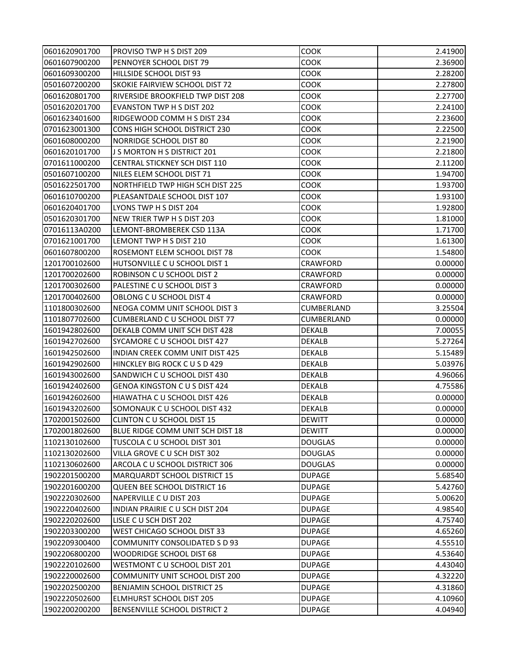| 0601620901700 | PROVISO TWP H S DIST 209               | COOK           | 2.41900 |
|---------------|----------------------------------------|----------------|---------|
| 0601607900200 | PENNOYER SCHOOL DIST 79                | COOK           | 2.36900 |
| 0601609300200 | HILLSIDE SCHOOL DIST 93                | COOK           | 2.28200 |
| 0501607200200 | <b>SKOKIE FAIRVIEW SCHOOL DIST 72</b>  | COOK           | 2.27800 |
| 0601620801700 | RIVERSIDE BROOKFIELD TWP DIST 208      | COOK           | 2.27700 |
| 0501620201700 | EVANSTON TWP H S DIST 202              | COOK           | 2.24100 |
| 0601623401600 | RIDGEWOOD COMM H S DIST 234            | COOK           | 2.23600 |
| 0701623001300 | <b>CONS HIGH SCHOOL DISTRICT 230</b>   | COOK           | 2.22500 |
| 0601608000200 | NORRIDGE SCHOOL DIST 80                | COOK           | 2.21900 |
| 0601620101700 | J S MORTON H S DISTRICT 201            | соок           | 2.21800 |
| 0701611000200 | <b>CENTRAL STICKNEY SCH DIST 110</b>   | COOK           | 2.11200 |
| 0501607100200 | NILES ELEM SCHOOL DIST 71              | COOK           | 1.94700 |
| 0501622501700 | NORTHFIELD TWP HIGH SCH DIST 225       | COOK           | 1.93700 |
| 0601610700200 | PLEASANTDALE SCHOOL DIST 107           | COOK           | 1.93100 |
| 0601620401700 | LYONS TWP H S DIST 204                 | COOK           | 1.92800 |
| 0501620301700 | NEW TRIER TWP H S DIST 203             | COOK           | 1.81000 |
| 07016113A0200 | LEMONT-BROMBEREK CSD 113A              | COOK           | 1.71700 |
| 0701621001700 | LEMONT TWP H S DIST 210                | COOK           | 1.61300 |
| 0601607800200 | ROSEMONT ELEM SCHOOL DIST 78           | соок           | 1.54800 |
| 1201700102600 | HUTSONVILLE C U SCHOOL DIST 1          | CRAWFORD       | 0.00000 |
| 1201700202600 | ROBINSON C U SCHOOL DIST 2             | CRAWFORD       | 0.00000 |
| 1201700302600 | PALESTINE C U SCHOOL DIST 3            | CRAWFORD       | 0.00000 |
| 1201700402600 | OBLONG C U SCHOOL DIST 4               | CRAWFORD       | 0.00000 |
| 1101800302600 | NEOGA COMM UNIT SCHOOL DIST 3          | CUMBERLAND     | 3.25504 |
| 1101807702600 | <b>CUMBERLAND C U SCHOOL DIST 77</b>   | CUMBERLAND     | 0.00000 |
| 1601942802600 | DEKALB COMM UNIT SCH DIST 428          | <b>DEKALB</b>  | 7.00055 |
| 1601942702600 | SYCAMORE C U SCHOOL DIST 427           | DEKALB         | 5.27264 |
| 1601942502600 | <b>INDIAN CREEK COMM UNIT DIST 425</b> | <b>DEKALB</b>  | 5.15489 |
| 1601942902600 | HINCKLEY BIG ROCK C U S D 429          | <b>DEKALB</b>  | 5.03976 |
| 1601943002600 | SANDWICH C U SCHOOL DIST 430           | DEKALB         | 4.96066 |
| 1601942402600 | <b>GENOA KINGSTON C U S DIST 424</b>   | <b>DEKALB</b>  | 4.75586 |
| 1601942602600 | HIAWATHA C U SCHOOL DIST 426           | <b>DEKALB</b>  | 0.00000 |
| 1601943202600 | SOMONAUK C U SCHOOL DIST 432           | <b>DEKALB</b>  | 0.00000 |
| 1702001502600 | CLINTON C U SCHOOL DIST 15             | <b>DEWITT</b>  | 0.00000 |
| 1702001802600 | BLUE RIDGE COMM UNIT SCH DIST 18       | <b>DEWITT</b>  | 0.00000 |
| 1102130102600 | TUSCOLA C U SCHOOL DIST 301            | <b>DOUGLAS</b> | 0.00000 |
| 1102130202600 | VILLA GROVE C U SCH DIST 302           | <b>DOUGLAS</b> | 0.00000 |
| 1102130602600 | ARCOLA C U SCHOOL DISTRICT 306         | <b>DOUGLAS</b> | 0.00000 |
| 1902201500200 | <b>MARQUARDT SCHOOL DISTRICT 15</b>    | <b>DUPAGE</b>  | 5.68540 |
| 1902201600200 | QUEEN BEE SCHOOL DISTRICT 16           | <b>DUPAGE</b>  | 5.42760 |
| 1902220302600 | NAPERVILLE C U DIST 203                | <b>DUPAGE</b>  | 5.00620 |
| 1902220402600 | INDIAN PRAIRIE C U SCH DIST 204        | <b>DUPAGE</b>  | 4.98540 |
| 1902220202600 | LISLE C U SCH DIST 202                 | <b>DUPAGE</b>  | 4.75740 |
| 1902203300200 | WEST CHICAGO SCHOOL DIST 33            | <b>DUPAGE</b>  | 4.65260 |
| 1902209300400 | COMMUNITY CONSOLIDATED S D 93          | <b>DUPAGE</b>  | 4.55510 |
| 1902206800200 | WOODRIDGE SCHOOL DIST 68               | <b>DUPAGE</b>  | 4.53640 |
| 1902220102600 | WESTMONT CU SCHOOL DIST 201            | <b>DUPAGE</b>  | 4.43040 |
| 1902220002600 | COMMUNITY UNIT SCHOOL DIST 200         | <b>DUPAGE</b>  | 4.32220 |
| 1902202500200 | <b>BENJAMIN SCHOOL DISTRICT 25</b>     | <b>DUPAGE</b>  | 4.31860 |
| 1902220502600 | <b>ELMHURST SCHOOL DIST 205</b>        | <b>DUPAGE</b>  | 4.10960 |
| 1902200200200 | BENSENVILLE SCHOOL DISTRICT 2          | <b>DUPAGE</b>  | 4.04940 |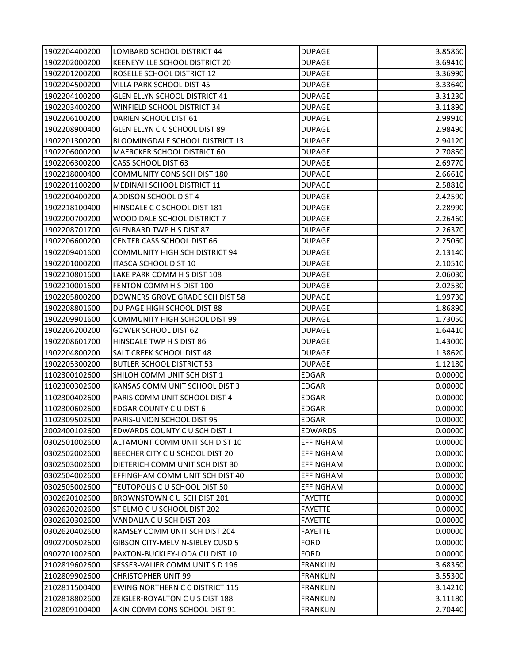| 1902204400200 | LOMBARD SCHOOL DISTRICT 44              | <b>DUPAGE</b>    | 3.85860 |
|---------------|-----------------------------------------|------------------|---------|
| 1902202000200 | KEENEYVILLE SCHOOL DISTRICT 20          | <b>DUPAGE</b>    | 3.69410 |
| 1902201200200 | ROSELLE SCHOOL DISTRICT 12              | <b>DUPAGE</b>    | 3.36990 |
| 1902204500200 | VILLA PARK SCHOOL DIST 45               | <b>DUPAGE</b>    | 3.33640 |
| 1902204100200 | <b>GLEN ELLYN SCHOOL DISTRICT 41</b>    | <b>DUPAGE</b>    | 3.31230 |
| 1902203400200 | WINFIELD SCHOOL DISTRICT 34             | <b>DUPAGE</b>    | 3.11890 |
| 1902206100200 | DARIEN SCHOOL DIST 61                   | <b>DUPAGE</b>    | 2.99910 |
| 1902208900400 | GLEN ELLYN C C SCHOOL DIST 89           | <b>DUPAGE</b>    | 2.98490 |
| 1902201300200 | BLOOMINGDALE SCHOOL DISTRICT 13         | <b>DUPAGE</b>    | 2.94120 |
| 1902206000200 | <b>MAERCKER SCHOOL DISTRICT 60</b>      | <b>DUPAGE</b>    | 2.70850 |
| 1902206300200 | CASS SCHOOL DIST 63                     | <b>DUPAGE</b>    | 2.69770 |
| 1902218000400 | COMMUNITY CONS SCH DIST 180             | <b>DUPAGE</b>    | 2.66610 |
| 1902201100200 | MEDINAH SCHOOL DISTRICT 11              | <b>DUPAGE</b>    | 2.58810 |
| 1902200400200 | ADDISON SCHOOL DIST 4                   | <b>DUPAGE</b>    | 2.42590 |
| 1902218100400 | HINSDALE C C SCHOOL DIST 181            | <b>DUPAGE</b>    | 2.28990 |
| 1902200700200 | WOOD DALE SCHOOL DISTRICT 7             | <b>DUPAGE</b>    | 2.26460 |
| 1902208701700 | <b>GLENBARD TWP H S DIST 87</b>         | <b>DUPAGE</b>    | 2.26370 |
| 1902206600200 | <b>CENTER CASS SCHOOL DIST 66</b>       | <b>DUPAGE</b>    | 2.25060 |
| 1902209401600 | <b>COMMUNITY HIGH SCH DISTRICT 94</b>   | <b>DUPAGE</b>    | 2.13140 |
| 1902201000200 | <b>ITASCA SCHOOL DIST 10</b>            | <b>DUPAGE</b>    | 2.10510 |
| 1902210801600 | LAKE PARK COMM H S DIST 108             | <b>DUPAGE</b>    | 2.06030 |
| 1902210001600 | FENTON COMM H S DIST 100                | <b>DUPAGE</b>    | 2.02530 |
| 1902205800200 | DOWNERS GROVE GRADE SCH DIST 58         | <b>DUPAGE</b>    | 1.99730 |
| 1902208801600 | DU PAGE HIGH SCHOOL DIST 88             | <b>DUPAGE</b>    | 1.86890 |
| 1902209901600 | <b>COMMUNITY HIGH SCHOOL DIST 99</b>    | <b>DUPAGE</b>    | 1.73050 |
| 1902206200200 | <b>GOWER SCHOOL DIST 62</b>             | <b>DUPAGE</b>    | 1.64410 |
| 1902208601700 | HINSDALE TWP H S DIST 86                | <b>DUPAGE</b>    | 1.43000 |
| 1902204800200 | SALT CREEK SCHOOL DIST 48               | <b>DUPAGE</b>    | 1.38620 |
| 1902205300200 | <b>BUTLER SCHOOL DISTRICT 53</b>        | <b>DUPAGE</b>    | 1.12180 |
| 1102300102600 | SHILOH COMM UNIT SCH DIST 1             | <b>EDGAR</b>     | 0.00000 |
| 1102300302600 | KANSAS COMM UNIT SCHOOL DIST 3          | <b>EDGAR</b>     | 0.00000 |
| 1102300402600 | PARIS COMM UNIT SCHOOL DIST 4           | <b>EDGAR</b>     | 0.00000 |
| 1102300602600 | EDGAR COUNTY C U DIST 6                 | <b>EDGAR</b>     | 0.00000 |
| 1102309502500 | PARIS-UNION SCHOOL DIST 95              | <b>EDGAR</b>     | 0.00000 |
| 2002400102600 | EDWARDS COUNTY C U SCH DIST 1           | <b>EDWARDS</b>   | 0.00000 |
| 0302501002600 | ALTAMONT COMM UNIT SCH DIST 10          | <b>EFFINGHAM</b> | 0.00000 |
| 0302502002600 | BEECHER CITY C U SCHOOL DIST 20         | EFFINGHAM        | 0.00000 |
| 0302503002600 | DIETERICH COMM UNIT SCH DIST 30         | <b>EFFINGHAM</b> | 0.00000 |
| 0302504002600 | EFFINGHAM COMM UNIT SCH DIST 40         | <b>EFFINGHAM</b> | 0.00000 |
| 0302505002600 | TEUTOPOLIS C U SCHOOL DIST 50           | <b>EFFINGHAM</b> | 0.00000 |
| 0302620102600 | BROWNSTOWN C U SCH DIST 201             | <b>FAYETTE</b>   | 0.00000 |
| 0302620202600 | ST ELMO C U SCHOOL DIST 202             | <b>FAYETTE</b>   | 0.00000 |
| 0302620302600 | VANDALIA C U SCH DIST 203               | <b>FAYETTE</b>   | 0.00000 |
| 0302620402600 | RAMSEY COMM UNIT SCH DIST 204           | FAYETTE          | 0.00000 |
| 0902700502600 | <b>GIBSON CITY-MELVIN-SIBLEY CUSD 5</b> | <b>FORD</b>      | 0.00000 |
| 0902701002600 | PAXTON-BUCKLEY-LODA CU DIST 10          | <b>FORD</b>      | 0.00000 |
| 2102819602600 | SESSER-VALIER COMM UNIT S D 196         | <b>FRANKLIN</b>  | 3.68360 |
| 2102809902600 | <b>CHRISTOPHER UNIT 99</b>              | <b>FRANKLIN</b>  | 3.55300 |
| 2102811500400 | EWING NORTHERN C C DISTRICT 115         | <b>FRANKLIN</b>  | 3.14210 |
| 2102818802600 | ZEIGLER-ROYALTON C U S DIST 188         | <b>FRANKLIN</b>  | 3.11180 |
| 2102809100400 | AKIN COMM CONS SCHOOL DIST 91           | <b>FRANKLIN</b>  | 2.70440 |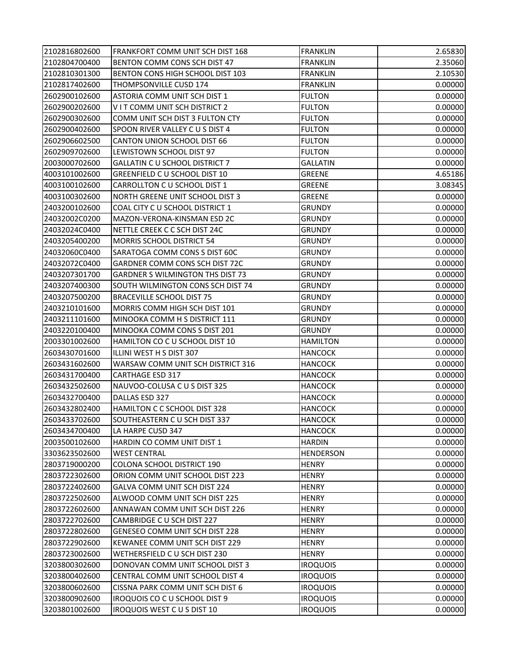| 2102816802600 | FRANKFORT COMM UNIT SCH DIST 168        | <b>FRANKLIN</b>  | 2.65830 |
|---------------|-----------------------------------------|------------------|---------|
| 2102804700400 | BENTON COMM CONS SCH DIST 47            | <b>FRANKLIN</b>  | 2.35060 |
| 2102810301300 | BENTON CONS HIGH SCHOOL DIST 103        | <b>FRANKLIN</b>  | 2.10530 |
| 2102817402600 | <b>THOMPSONVILLE CUSD 174</b>           | <b>FRANKLIN</b>  | 0.00000 |
| 2602900102600 | ASTORIA COMM UNIT SCH DIST 1            | <b>FULTON</b>    | 0.00000 |
| 2602900202600 | VIT COMM UNIT SCH DISTRICT 2            | <b>FULTON</b>    | 0.00000 |
| 2602900302600 | COMM UNIT SCH DIST 3 FULTON CTY         | <b>FULTON</b>    | 0.00000 |
| 2602900402600 | SPOON RIVER VALLEY C U S DIST 4         | <b>FULTON</b>    | 0.00000 |
| 2602906602500 | <b>CANTON UNION SCHOOL DIST 66</b>      | <b>FULTON</b>    | 0.00000 |
| 2602909702600 | LEWISTOWN SCHOOL DIST 97                | <b>FULTON</b>    | 0.00000 |
| 2003000702600 | <b>GALLATIN C U SCHOOL DISTRICT 7</b>   | <b>GALLATIN</b>  | 0.00000 |
| 4003101002600 | GREENFIELD C U SCHOOL DIST 10           | <b>GREENE</b>    | 4.65186 |
| 4003100102600 | CARROLLTON C U SCHOOL DIST 1            | <b>GREENE</b>    | 3.08345 |
| 4003100302600 | NORTH GREENE UNIT SCHOOL DIST 3         | GREENE           | 0.00000 |
| 2403200102600 | COAL CITY C U SCHOOL DISTRICT 1         | <b>GRUNDY</b>    | 0.00000 |
| 24032002C0200 | MAZON-VERONA-KINSMAN ESD 2C             | <b>GRUNDY</b>    | 0.00000 |
| 24032024C0400 | NETTLE CREEK C C SCH DIST 24C           | <b>GRUNDY</b>    | 0.00000 |
| 2403205400200 | <b>MORRIS SCHOOL DISTRICT 54</b>        | <b>GRUNDY</b>    | 0.00000 |
| 24032060C0400 | SARATOGA COMM CONS S DIST 60C           | <b>GRUNDY</b>    | 0.00000 |
| 24032072C0400 | GARDNER COMM CONS SCH DIST 72C          | <b>GRUNDY</b>    | 0.00000 |
| 2403207301700 | <b>GARDNER S WILMINGTON THS DIST 73</b> | <b>GRUNDY</b>    | 0.00000 |
| 2403207400300 | SOUTH WILMINGTON CONS SCH DIST 74       | <b>GRUNDY</b>    | 0.00000 |
| 2403207500200 | <b>BRACEVILLE SCHOOL DIST 75</b>        | <b>GRUNDY</b>    | 0.00000 |
| 2403210101600 | MORRIS COMM HIGH SCH DIST 101           | <b>GRUNDY</b>    | 0.00000 |
| 2403211101600 | MINOOKA COMM H S DISTRICT 111           | <b>GRUNDY</b>    | 0.00000 |
| 2403220100400 | MINOOKA COMM CONS S DIST 201            | <b>GRUNDY</b>    | 0.00000 |
| 2003301002600 | HAMILTON CO C U SCHOOL DIST 10          | <b>HAMILTON</b>  | 0.00000 |
| 2603430701600 | ILLINI WEST H S DIST 307                | <b>HANCOCK</b>   | 0.00000 |
| 2603431602600 | WARSAW COMM UNIT SCH DISTRICT 316       | <b>HANCOCK</b>   | 0.00000 |
| 2603431700400 | CARTHAGE ESD 317                        | <b>HANCOCK</b>   | 0.00000 |
| 2603432502600 | NAUVOO-COLUSA C U S DIST 325            | <b>HANCOCK</b>   | 0.00000 |
| 2603432700400 | DALLAS ESD 327                          | <b>HANCOCK</b>   | 0.00000 |
| 2603432802400 | HAMILTON C C SCHOOL DIST 328            | <b>HANCOCK</b>   | 0.00000 |
| 2603433702600 | SOUTHEASTERN C U SCH DIST 337           | <b>HANCOCK</b>   | 0.00000 |
| 2603434700400 | LA HARPE CUSD 347                       | <b>HANCOCK</b>   | 0.00000 |
| 2003500102600 | <b>HARDIN CO COMM UNIT DIST 1</b>       | <b>HARDIN</b>    | 0.00000 |
| 3303623502600 | <b>WEST CENTRAL</b>                     | <b>HENDERSON</b> | 0.00000 |
| 2803719000200 | <b>COLONA SCHOOL DISTRICT 190</b>       | <b>HENRY</b>     | 0.00000 |
| 2803722302600 | ORION COMM UNIT SCHOOL DIST 223         | <b>HENRY</b>     | 0.00000 |
| 2803722402600 | GALVA COMM UNIT SCH DIST 224            | <b>HENRY</b>     | 0.00000 |
| 2803722502600 | ALWOOD COMM UNIT SCH DIST 225           | <b>HENRY</b>     | 0.00000 |
| 2803722602600 | ANNAWAN COMM UNIT SCH DIST 226          | <b>HENRY</b>     | 0.00000 |
| 2803722702600 | CAMBRIDGE C U SCH DIST 227              | <b>HENRY</b>     | 0.00000 |
| 2803722802600 | GENESEO COMM UNIT SCH DIST 228          | <b>HENRY</b>     | 0.00000 |
| 2803722902600 | KEWANEE COMM UNIT SCH DIST 229          | <b>HENRY</b>     | 0.00000 |
| 2803723002600 | WETHERSFIELD C U SCH DIST 230           | <b>HENRY</b>     | 0.00000 |
| 3203800302600 | DONOVAN COMM UNIT SCHOOL DIST 3         | <b>IROQUOIS</b>  | 0.00000 |
| 3203800402600 | CENTRAL COMM UNIT SCHOOL DIST 4         | <b>IROQUOIS</b>  | 0.00000 |
| 3203800602600 | CISSNA PARK COMM UNIT SCH DIST 6        | <b>IROQUOIS</b>  | 0.00000 |
| 3203800902600 | IROQUOIS CO C U SCHOOL DIST 9           | <b>IROQUOIS</b>  | 0.00000 |
| 3203801002600 | IROQUOIS WEST C U S DIST 10             | <b>IROQUOIS</b>  | 0.00000 |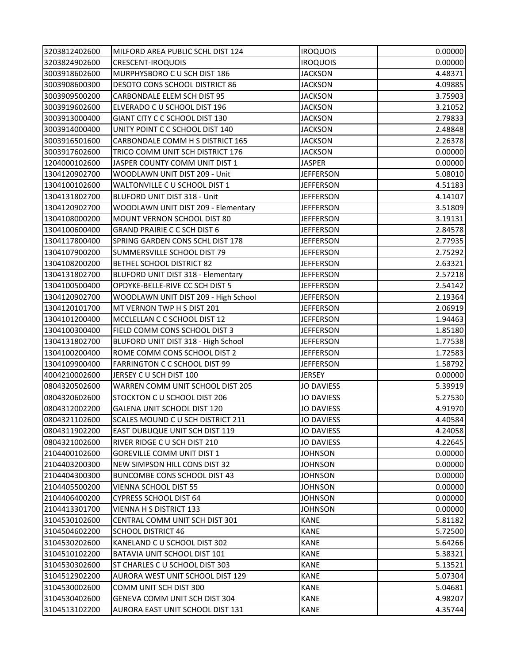| 3203812402600 | MILFORD AREA PUBLIC SCHL DIST 124    | <b>IROQUOIS</b>   | 0.00000 |
|---------------|--------------------------------------|-------------------|---------|
| 3203824902600 | <b>CRESCENT-IROQUOIS</b>             | <b>IROQUOIS</b>   | 0.00000 |
| 3003918602600 | MURPHYSBORO C U SCH DIST 186         | <b>JACKSON</b>    | 4.48371 |
| 3003908600300 | DESOTO CONS SCHOOL DISTRICT 86       | <b>JACKSON</b>    | 4.09885 |
| 3003909500200 | CARBONDALE ELEM SCH DIST 95          | <b>JACKSON</b>    | 3.75903 |
| 3003919602600 | ELVERADO C U SCHOOL DIST 196         | <b>JACKSON</b>    | 3.21052 |
| 3003913000400 | GIANT CITY C C SCHOOL DIST 130       | <b>JACKSON</b>    | 2.79833 |
| 3003914000400 | UNITY POINT C C SCHOOL DIST 140      | <b>JACKSON</b>    | 2.48848 |
| 3003916501600 | CARBONDALE COMM H S DISTRICT 165     | <b>JACKSON</b>    | 2.26378 |
| 3003917602600 | TRICO COMM UNIT SCH DISTRICT 176     | <b>JACKSON</b>    | 0.00000 |
| 1204000102600 | JASPER COUNTY COMM UNIT DIST 1       | <b>JASPER</b>     | 0.00000 |
| 1304120902700 | WOODLAWN UNIT DIST 209 - Unit        | <b>JEFFERSON</b>  | 5.08010 |
| 1304100102600 | WALTONVILLE C U SCHOOL DIST 1        | <b>JEFFERSON</b>  | 4.51183 |
| 1304131802700 | BLUFORD UNIT DIST 318 - Unit         | <b>JEFFERSON</b>  | 4.14107 |
| 1304120902700 | WOODLAWN UNIT DIST 209 - Elementary  | <b>JEFFERSON</b>  | 3.51809 |
| 1304108000200 | MOUNT VERNON SCHOOL DIST 80          | <b>JEFFERSON</b>  | 3.19131 |
| 1304100600400 | <b>GRAND PRAIRIE C C SCH DIST 6</b>  | <b>JEFFERSON</b>  | 2.84578 |
| 1304117800400 | SPRING GARDEN CONS SCHL DIST 178     | <b>JEFFERSON</b>  | 2.77935 |
| 1304107900200 | SUMMERSVILLE SCHOOL DIST 79          | <b>JEFFERSON</b>  | 2.75292 |
| 1304108200200 | BETHEL SCHOOL DISTRICT 82            | <b>JEFFERSON</b>  | 2.63321 |
| 1304131802700 | BLUFORD UNIT DIST 318 - Elementary   | <b>JEFFERSON</b>  | 2.57218 |
| 1304100500400 | OPDYKE-BELLE-RIVE CC SCH DIST 5      | <b>JEFFERSON</b>  | 2.54142 |
| 1304120902700 | WOODLAWN UNIT DIST 209 - High School | <b>JEFFERSON</b>  | 2.19364 |
| 1304120101700 | MT VERNON TWP H S DIST 201           | <b>JEFFERSON</b>  | 2.06919 |
| 1304101200400 | MCCLELLAN C C SCHOOL DIST 12         | <b>JEFFERSON</b>  | 1.94463 |
| 1304100300400 | FIELD COMM CONS SCHOOL DIST 3        | <b>JEFFERSON</b>  | 1.85180 |
| 1304131802700 | BLUFORD UNIT DIST 318 - High School  | <b>JEFFERSON</b>  | 1.77538 |
| 1304100200400 | ROME COMM CONS SCHOOL DIST 2         | <b>JEFFERSON</b>  | 1.72583 |
| 1304109900400 | FARRINGTON C C SCHOOL DIST 99        | <b>JEFFERSON</b>  | 1.58792 |
| 4004210002600 | JERSEY CU SCH DIST 100               | <b>JERSEY</b>     | 0.00000 |
| 0804320502600 | WARREN COMM UNIT SCHOOL DIST 205     | <b>JO DAVIESS</b> | 5.39919 |
| 0804320602600 | STOCKTON C U SCHOOL DIST 206         | <b>JO DAVIESS</b> | 5.27530 |
| 0804312002200 | GALENA UNIT SCHOOL DIST 120          | <b>JO DAVIESS</b> | 4.91970 |
| 0804321102600 | SCALES MOUND C U SCH DISTRICT 211    | <b>JO DAVIESS</b> | 4.40584 |
| 0804311902200 | EAST DUBUQUE UNIT SCH DIST 119       | <b>JO DAVIESS</b> | 4.24058 |
| 0804321002600 | RIVER RIDGE C U SCH DIST 210         | <b>JO DAVIESS</b> | 4.22645 |
| 2104400102600 | <b>GOREVILLE COMM UNIT DIST 1</b>    | <b>JOHNSON</b>    | 0.00000 |
| 2104403200300 | NEW SIMPSON HILL CONS DIST 32        | <b>JOHNSON</b>    | 0.00000 |
| 2104404300300 | <b>BUNCOMBE CONS SCHOOL DIST 43</b>  | <b>JOHNSON</b>    | 0.00000 |
| 2104405500200 | <b>VIENNA SCHOOL DIST 55</b>         | <b>JOHNSON</b>    | 0.00000 |
| 2104406400200 | <b>CYPRESS SCHOOL DIST 64</b>        | <b>JOHNSON</b>    | 0.00000 |
| 2104413301700 | VIENNA H S DISTRICT 133              | <b>JOHNSON</b>    | 0.00000 |
| 3104530102600 | CENTRAL COMM UNIT SCH DIST 301       | <b>KANE</b>       | 5.81182 |
| 3104504602200 | <b>SCHOOL DISTRICT 46</b>            | <b>KANE</b>       | 5.72500 |
| 3104530202600 | KANELAND C U SCHOOL DIST 302         | <b>KANE</b>       | 5.64266 |
| 3104510102200 | BATAVIA UNIT SCHOOL DIST 101         | KANE              | 5.38321 |
| 3104530302600 | ST CHARLES C U SCHOOL DIST 303       | <b>KANE</b>       | 5.13521 |
| 3104512902200 | AURORA WEST UNIT SCHOOL DIST 129     | <b>KANE</b>       | 5.07304 |
| 3104530002600 | COMM UNIT SCH DIST 300               | <b>KANE</b>       | 5.04681 |
| 3104530402600 | GENEVA COMM UNIT SCH DIST 304        | <b>KANE</b>       | 4.98207 |
| 3104513102200 | AURORA EAST UNIT SCHOOL DIST 131     | <b>KANE</b>       | 4.35744 |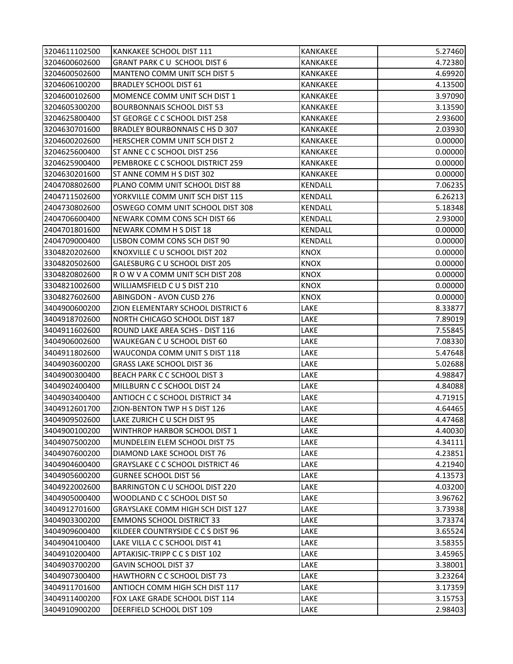| 3204611102500 | KANKAKEE SCHOOL DIST 111                | <b>KANKAKEE</b> | 5.27460 |
|---------------|-----------------------------------------|-----------------|---------|
| 3204600602600 | <b>GRANT PARK CU SCHOOL DIST 6</b>      | <b>KANKAKEE</b> | 4.72380 |
| 3204600502600 | MANTENO COMM UNIT SCH DIST 5            | <b>KANKAKEE</b> | 4.69920 |
| 3204606100200 | <b>BRADLEY SCHOOL DIST 61</b>           | <b>KANKAKEE</b> | 4.13500 |
| 3204600102600 | MOMENCE COMM UNIT SCH DIST 1            | <b>KANKAKEE</b> | 3.97090 |
| 3204605300200 | <b>BOURBONNAIS SCHOOL DIST 53</b>       | <b>KANKAKEE</b> | 3.13590 |
| 3204625800400 | ST GEORGE C C SCHOOL DIST 258           | <b>KANKAKEE</b> | 2.93600 |
| 3204630701600 | <b>BRADLEY BOURBONNAIS C HS D 307</b>   | <b>KANKAKEE</b> | 2.03930 |
| 3204600202600 | HERSCHER COMM UNIT SCH DIST 2           | KANKAKEE        | 0.00000 |
| 3204625600400 | ST ANNE C C SCHOOL DIST 256             | KANKAKEE        | 0.00000 |
| 3204625900400 | PEMBROKE C C SCHOOL DISTRICT 259        | <b>KANKAKEE</b> | 0.00000 |
| 3204630201600 | ST ANNE COMM H S DIST 302               | <b>KANKAKEE</b> | 0.00000 |
| 2404708802600 | PLANO COMM UNIT SCHOOL DIST 88          | <b>KENDALL</b>  | 7.06235 |
| 2404711502600 | YORKVILLE COMM UNIT SCH DIST 115        | KENDALL         | 6.26213 |
| 2404730802600 | OSWEGO COMM UNIT SCHOOL DIST 308        | <b>KENDALL</b>  | 5.18348 |
| 2404706600400 | NEWARK COMM CONS SCH DIST 66            | <b>KENDALL</b>  | 2.93000 |
| 2404701801600 | NEWARK COMM H S DIST 18                 | <b>KENDALL</b>  | 0.00000 |
| 2404709000400 | LISBON COMM CONS SCH DIST 90            | <b>KENDALL</b>  | 0.00000 |
| 3304820202600 | KNOXVILLE C U SCHOOL DIST 202           | <b>KNOX</b>     | 0.00000 |
| 3304820502600 | GALESBURG C U SCHOOL DIST 205           | <b>KNOX</b>     | 0.00000 |
| 3304820802600 | ROW V A COMM UNIT SCH DIST 208          | <b>KNOX</b>     | 0.00000 |
| 3304821002600 | WILLIAMSFIELD CUS DIST 210              | <b>KNOX</b>     | 0.00000 |
| 3304827602600 | ABINGDON - AVON CUSD 276                | <b>KNOX</b>     | 0.00000 |
| 3404900600200 | ZION ELEMENTARY SCHOOL DISTRICT 6       | LAKE            | 8.33877 |
| 3404918702600 | NORTH CHICAGO SCHOOL DIST 187           | LAKE            | 7.89019 |
| 3404911602600 | ROUND LAKE AREA SCHS - DIST 116         | LAKE            | 7.55845 |
| 3404906002600 | WAUKEGAN C U SCHOOL DIST 60             | LAKE            | 7.08330 |
| 3404911802600 | WAUCONDA COMM UNIT S DIST 118           | LAKE            | 5.47648 |
| 3404903600200 | <b>GRASS LAKE SCHOOL DIST 36</b>        | LAKE            | 5.02688 |
| 3404900300400 | BEACH PARK C C SCHOOL DIST 3            | LAKE            | 4.98847 |
| 3404902400400 | MILLBURN C C SCHOOL DIST 24             | LAKE            | 4.84088 |
| 3404903400400 | <b>ANTIOCH C C SCHOOL DISTRICT 34</b>   | LAKE            | 4.71915 |
| 3404912601700 | ZION-BENTON TWP H S DIST 126            | LAKE            | 4.64465 |
| 3404909502600 | LAKE ZURICH C U SCH DIST 95             | LAKE            | 4.47468 |
| 3404900100200 | WINTHROP HARBOR SCHOOL DIST 1           | LAKE            | 4.40030 |
| 3404907500200 | MUNDELEIN ELEM SCHOOL DIST 75           | LAKE            | 4.34111 |
| 3404907600200 | DIAMOND LAKE SCHOOL DIST 76             | LAKE            | 4.23851 |
| 3404904600400 | <b>GRAYSLAKE C C SCHOOL DISTRICT 46</b> | LAKE            | 4.21940 |
| 3404905600200 | <b>GURNEE SCHOOL DIST 56</b>            | LAKE            | 4.13573 |
| 3404922002600 | BARRINGTON C U SCHOOL DIST 220          | LAKE            | 4.03200 |
| 3404905000400 | WOODLAND C C SCHOOL DIST 50             | LAKE            | 3.96762 |
| 3404912701600 | <b>GRAYSLAKE COMM HIGH SCH DIST 127</b> | LAKE            | 3.73938 |
| 3404903300200 | <b>EMMONS SCHOOL DISTRICT 33</b>        | LAKE            | 3.73374 |
| 3404909600400 | KILDEER COUNTRYSIDE C C S DIST 96       | LAKE            | 3.65524 |
| 3404904100400 | LAKE VILLA C C SCHOOL DIST 41           | LAKE            | 3.58355 |
| 3404910200400 | APTAKISIC-TRIPP C C S DIST 102          | LAKE            | 3.45965 |
| 3404903700200 | <b>GAVIN SCHOOL DIST 37</b>             | LAKE            | 3.38001 |
| 3404907300400 | HAWTHORN C C SCHOOL DIST 73             | LAKE            | 3.23264 |
| 3404911701600 | ANTIOCH COMM HIGH SCH DIST 117          | LAKE            | 3.17359 |
| 3404911400200 | FOX LAKE GRADE SCHOOL DIST 114          | LAKE            | 3.15753 |
| 3404910900200 | DEERFIELD SCHOOL DIST 109               | LAKE            | 2.98403 |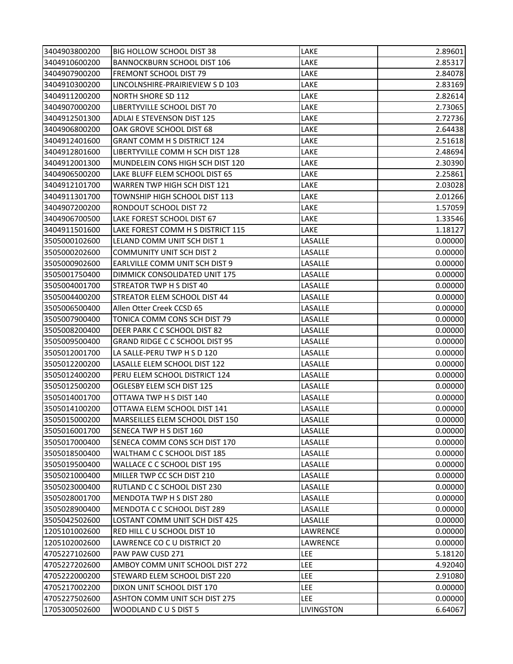| 3404903800200 | <b>BIG HOLLOW SCHOOL DIST 38</b>      | LAKE       | 2.89601 |
|---------------|---------------------------------------|------------|---------|
| 3404910600200 | <b>BANNOCKBURN SCHOOL DIST 106</b>    | LAKE       | 2.85317 |
| 3404907900200 | <b>FREMONT SCHOOL DIST 79</b>         | LAKE       | 2.84078 |
| 3404910300200 | LINCOLNSHIRE-PRAIRIEVIEW S D 103      | LAKE       | 2.83169 |
| 3404911200200 | <b>NORTH SHORE SD 112</b>             | LAKE       | 2.82614 |
| 3404907000200 | LIBERTYVILLE SCHOOL DIST 70           | LAKE       | 2.73065 |
| 3404912501300 | ADLAI E STEVENSON DIST 125            | LAKE       | 2.72736 |
| 3404906800200 | OAK GROVE SCHOOL DIST 68              | LAKE       | 2.64438 |
| 3404912401600 | <b>GRANT COMM H S DISTRICT 124</b>    | LAKE       | 2.51618 |
| 3404912801600 | LIBERTYVILLE COMM H SCH DIST 128      | LAKE       | 2.48694 |
| 3404912001300 | MUNDELEIN CONS HIGH SCH DIST 120      | LAKE       | 2.30390 |
| 3404906500200 | LAKE BLUFF ELEM SCHOOL DIST 65        | LAKE       | 2.25861 |
| 3404912101700 | WARREN TWP HIGH SCH DIST 121          | LAKE       | 2.03028 |
| 3404911301700 | TOWNSHIP HIGH SCHOOL DIST 113         | LAKE       | 2.01266 |
| 3404907200200 | RONDOUT SCHOOL DIST 72                | LAKE       | 1.57059 |
| 3404906700500 | LAKE FOREST SCHOOL DIST 67            | LAKE       | 1.33546 |
| 3404911501600 | LAKE FOREST COMM H S DISTRICT 115     | LAKE       | 1.18127 |
| 3505000102600 | LELAND COMM UNIT SCH DIST 1           | LASALLE    | 0.00000 |
| 3505000202600 | <b>COMMUNITY UNIT SCH DIST 2</b>      | LASALLE    | 0.00000 |
| 3505000902600 | EARLVILLE COMM UNIT SCH DIST 9        | LASALLE    | 0.00000 |
| 3505001750400 | <b>DIMMICK CONSOLIDATED UNIT 175</b>  | LASALLE    | 0.00000 |
| 3505004001700 | STREATOR TWP H S DIST 40              | LASALLE    | 0.00000 |
| 3505004400200 | STREATOR ELEM SCHOOL DIST 44          | LASALLE    | 0.00000 |
| 3505006500400 | Allen Otter Creek CCSD 65             | LASALLE    | 0.00000 |
| 3505007900400 | TONICA COMM CONS SCH DIST 79          | LASALLE    | 0.00000 |
| 3505008200400 | DEER PARK C C SCHOOL DIST 82          | LASALLE    | 0.00000 |
| 3505009500400 | <b>GRAND RIDGE C C SCHOOL DIST 95</b> | LASALLE    | 0.00000 |
| 3505012001700 | LA SALLE-PERU TWP H S D 120           | LASALLE    | 0.00000 |
| 3505012200200 | LASALLE ELEM SCHOOL DIST 122          | LASALLE    | 0.00000 |
| 3505012400200 | PERU ELEM SCHOOL DISTRICT 124         | LASALLE    | 0.00000 |
| 3505012500200 | OGLESBY ELEM SCH DIST 125             | LASALLE    | 0.00000 |
| 3505014001700 | OTTAWA TWP H S DIST 140               | LASALLE    | 0.00000 |
| 3505014100200 | OTTAWA ELEM SCHOOL DIST 141           | LASALLE    | 0.00000 |
| 3505015000200 | MARSEILLES ELEM SCHOOL DIST 150       | LASALLE    | 0.00000 |
| 3505016001700 | SENECA TWP H S DIST 160               | LASALLE    | 0.00000 |
| 3505017000400 | SENECA COMM CONS SCH DIST 170         | LASALLE    | 0.00000 |
| 3505018500400 | WALTHAM C C SCHOOL DIST 185           | LASALLE    | 0.00000 |
| 3505019500400 | WALLACE C C SCHOOL DIST 195           | LASALLE    | 0.00000 |
| 3505021000400 | MILLER TWP CC SCH DIST 210            | LASALLE    | 0.00000 |
| 3505023000400 | RUTLAND C C SCHOOL DIST 230           | LASALLE    | 0.00000 |
| 3505028001700 | MENDOTA TWP H S DIST 280              | LASALLE    | 0.00000 |
| 3505028900400 | MENDOTA C C SCHOOL DIST 289           | LASALLE    | 0.00000 |
| 3505042502600 | LOSTANT COMM UNIT SCH DIST 425        | LASALLE    | 0.00000 |
| 1205101002600 | RED HILL C U SCHOOL DIST 10           | LAWRENCE   | 0.00000 |
| 1205102002600 | LAWRENCE CO C U DISTRICT 20           | LAWRENCE   | 0.00000 |
| 4705227102600 | PAW PAW CUSD 271                      | LEE        | 5.18120 |
| 4705227202600 | AMBOY COMM UNIT SCHOOL DIST 272       | LEE        | 4.92040 |
| 4705222000200 | STEWARD ELEM SCHOOL DIST 220          | LEE        | 2.91080 |
| 4705217002200 | DIXON UNIT SCHOOL DIST 170            | LEE        | 0.00000 |
| 4705227502600 | ASHTON COMM UNIT SCH DIST 275         | LEE        | 0.00000 |
| 1705300502600 | WOODLAND C U S DIST 5                 | LIVINGSTON | 6.64067 |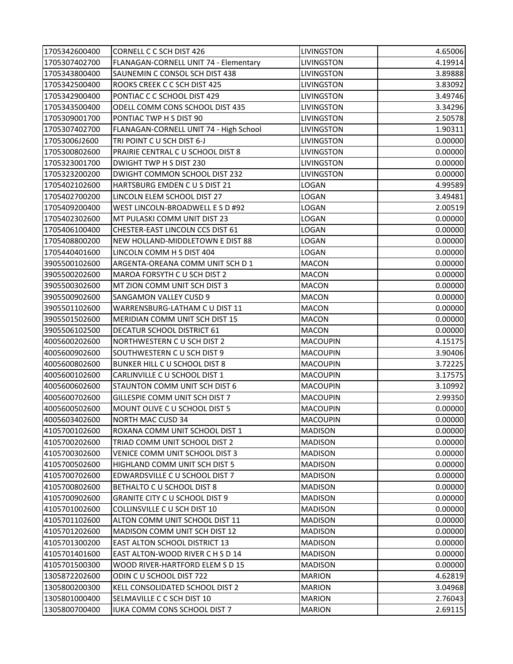| 1705342600400 | <b>CORNELL C C SCH DIST 426</b>        | LIVINGSTON        | 4.65006 |
|---------------|----------------------------------------|-------------------|---------|
| 1705307402700 | FLANAGAN-CORNELL UNIT 74 - Elementary  | LIVINGSTON        | 4.19914 |
| 1705343800400 | SAUNEMIN C CONSOL SCH DIST 438         | LIVINGSTON        | 3.89888 |
| 1705342500400 | ROOKS CREEK C C SCH DIST 425           | LIVINGSTON        | 3.83092 |
| 1705342900400 | PONTIAC C C SCHOOL DIST 429            | LIVINGSTON        | 3.49746 |
| 1705343500400 | ODELL COMM CONS SCHOOL DIST 435        | LIVINGSTON        | 3.34296 |
| 1705309001700 | PONTIAC TWP H S DIST 90                | LIVINGSTON        | 2.50578 |
| 1705307402700 | FLANAGAN-CORNELL UNIT 74 - High School | <b>LIVINGSTON</b> | 1.90311 |
| 17053006J2600 | TRI POINT CU SCH DIST 6-J              | LIVINGSTON        | 0.00000 |
| 1705300802600 | PRAIRIE CENTRAL C U SCHOOL DIST 8      | LIVINGSTON        | 0.00000 |
| 1705323001700 | DWIGHT TWP H S DIST 230                | LIVINGSTON        | 0.00000 |
| 1705323200200 | DWIGHT COMMON SCHOOL DIST 232          | LIVINGSTON        | 0.00000 |
| 1705402102600 | HARTSBURG EMDEN C U S DIST 21          | LOGAN             | 4.99589 |
| 1705402700200 | LINCOLN ELEM SCHOOL DIST 27            | LOGAN             | 3.49481 |
| 1705409200400 | WEST LINCOLN-BROADWELL E S D #92       | LOGAN             | 2.00519 |
| 1705402302600 | MT PULASKI COMM UNIT DIST 23           | LOGAN             | 0.00000 |
| 1705406100400 | CHESTER-EAST LINCOLN CCS DIST 61       | LOGAN             | 0.00000 |
| 1705408800200 | NEW HOLLAND-MIDDLETOWN E DIST 88       | LOGAN             | 0.00000 |
| 1705440401600 | LINCOLN COMM H S DIST 404              | LOGAN             | 0.00000 |
| 3905500102600 | ARGENTA-OREANA COMM UNIT SCH D 1       | <b>MACON</b>      | 0.00000 |
| 3905500202600 | MAROA FORSYTH C U SCH DIST 2           | <b>MACON</b>      | 0.00000 |
| 3905500302600 | MT ZION COMM UNIT SCH DIST 3           | <b>MACON</b>      | 0.00000 |
| 3905500902600 | SANGAMON VALLEY CUSD 9                 | <b>MACON</b>      | 0.00000 |
| 3905501102600 | WARRENSBURG-LATHAM C U DIST 11         | <b>MACON</b>      | 0.00000 |
| 3905501502600 | MERIDIAN COMM UNIT SCH DIST 15         | <b>MACON</b>      | 0.00000 |
| 3905506102500 | DECATUR SCHOOL DISTRICT 61             | <b>MACON</b>      | 0.00000 |
| 4005600202600 | NORTHWESTERN C U SCH DIST 2            | <b>MACOUPIN</b>   | 4.15175 |
| 4005600902600 | SOUTHWESTERN C U SCH DIST 9            | <b>MACOUPIN</b>   | 3.90406 |
| 4005600802600 | BUNKER HILL C U SCHOOL DIST 8          | <b>MACOUPIN</b>   | 3.72225 |
| 4005600102600 | CARLINVILLE C U SCHOOL DIST 1          | <b>MACOUPIN</b>   | 3.17575 |
| 4005600602600 | STAUNTON COMM UNIT SCH DIST 6          | <b>MACOUPIN</b>   | 3.10992 |
| 4005600702600 | GILLESPIE COMM UNIT SCH DIST 7         | <b>MACOUPIN</b>   | 2.99350 |
| 4005600502600 | MOUNT OLIVE C U SCHOOL DIST 5          | <b>MACOUPIN</b>   | 0.00000 |
| 4005603402600 | <b>NORTH MAC CUSD 34</b>               | <b>MACOUPIN</b>   | 0.00000 |
| 4105700102600 | ROXANA COMM UNIT SCHOOL DIST 1         | <b>MADISON</b>    | 0.00000 |
| 4105700202600 | TRIAD COMM UNIT SCHOOL DIST 2          | <b>MADISON</b>    | 0.00000 |
| 4105700302600 | VENICE COMM UNIT SCHOOL DIST 3         | <b>MADISON</b>    | 0.00000 |
| 4105700502600 | <b>HIGHLAND COMM UNIT SCH DIST 5</b>   | <b>MADISON</b>    | 0.00000 |
| 4105700702600 | EDWARDSVILLE C U SCHOOL DIST 7         | <b>MADISON</b>    | 0.00000 |
| 4105700802600 | BETHALTO C U SCHOOL DIST 8             | <b>MADISON</b>    | 0.00000 |
| 4105700902600 | <b>GRANITE CITY C U SCHOOL DIST 9</b>  | <b>MADISON</b>    | 0.00000 |
| 4105701002600 | COLLINSVILLE C U SCH DIST 10           | <b>MADISON</b>    | 0.00000 |
| 4105701102600 | ALTON COMM UNIT SCHOOL DIST 11         | <b>MADISON</b>    | 0.00000 |
| 4105701202600 | MADISON COMM UNIT SCH DIST 12          | <b>MADISON</b>    | 0.00000 |
| 4105701300200 | <b>EAST ALTON SCHOOL DISTRICT 13</b>   | <b>MADISON</b>    | 0.00000 |
| 4105701401600 | EAST ALTON-WOOD RIVER C H S D 14       | <b>MADISON</b>    | 0.00000 |
| 4105701500300 | WOOD RIVER-HARTFORD ELEM S D 15        | <b>MADISON</b>    | 0.00000 |
| 1305872202600 | ODIN C U SCHOOL DIST 722               | <b>MARION</b>     | 4.62819 |
| 1305800200300 | KELL CONSOLIDATED SCHOOL DIST 2        | <b>MARION</b>     | 3.04968 |
| 1305801000400 | SELMAVILLE C C SCH DIST 10             | <b>MARION</b>     | 2.76043 |
| 1305800700400 | IUKA COMM CONS SCHOOL DIST 7           | <b>MARION</b>     | 2.69115 |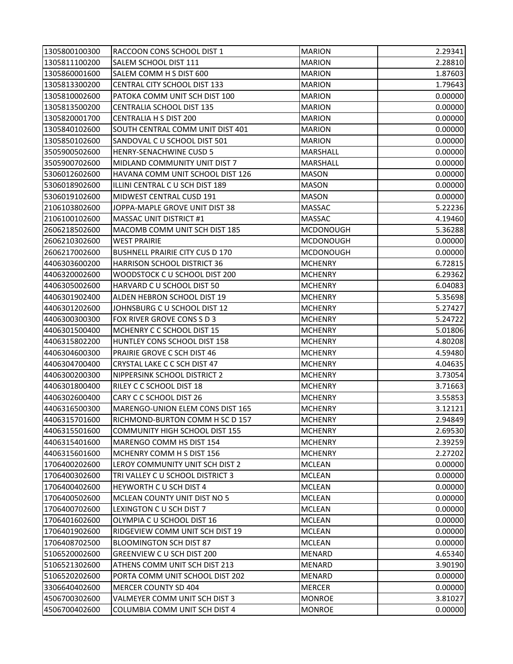| 1305800100300 | RACCOON CONS SCHOOL DIST 1             | <b>MARION</b>    | 2.29341 |
|---------------|----------------------------------------|------------------|---------|
| 1305811100200 | SALEM SCHOOL DIST 111                  | <b>MARION</b>    | 2.28810 |
| 1305860001600 | SALEM COMM H S DIST 600                | <b>MARION</b>    | 1.87603 |
| 1305813300200 | <b>CENTRAL CITY SCHOOL DIST 133</b>    | <b>MARION</b>    | 1.79643 |
| 1305810002600 | PATOKA COMM UNIT SCH DIST 100          | <b>MARION</b>    | 0.00000 |
| 1305813500200 | <b>CENTRALIA SCHOOL DIST 135</b>       | <b>MARION</b>    | 0.00000 |
| 1305820001700 | <b>CENTRALIA H S DIST 200</b>          | <b>MARION</b>    | 0.00000 |
| 1305840102600 | SOUTH CENTRAL COMM UNIT DIST 401       | <b>MARION</b>    | 0.00000 |
| 1305850102600 | SANDOVAL C U SCHOOL DIST 501           | <b>MARION</b>    | 0.00000 |
| 3505900502600 | <b>HENRY-SENACHWINE CUSD 5</b>         | MARSHALL         | 0.00000 |
| 3505900702600 | MIDLAND COMMUNITY UNIT DIST 7          | MARSHALL         | 0.00000 |
| 5306012602600 | HAVANA COMM UNIT SCHOOL DIST 126       | <b>MASON</b>     | 0.00000 |
| 5306018902600 | ILLINI CENTRAL C U SCH DIST 189        | <b>MASON</b>     | 0.00000 |
| 5306019102600 | MIDWEST CENTRAL CUSD 191               | <b>MASON</b>     | 0.00000 |
| 2106103802600 | JOPPA-MAPLE GROVE UNIT DIST 38         | <b>MASSAC</b>    | 5.22236 |
| 2106100102600 | <b>MASSAC UNIT DISTRICT #1</b>         | <b>MASSAC</b>    | 4.19460 |
| 2606218502600 | MACOMB COMM UNIT SCH DIST 185          | <b>MCDONOUGH</b> | 5.36288 |
| 2606210302600 | <b>WEST PRAIRIE</b>                    | <b>MCDONOUGH</b> | 0.00000 |
| 2606217002600 | <b>BUSHNELL PRAIRIE CITY CUS D 170</b> | <b>MCDONOUGH</b> | 0.00000 |
| 4406303600200 | <b>HARRISON SCHOOL DISTRICT 36</b>     | <b>MCHENRY</b>   | 6.72815 |
| 4406320002600 | WOODSTOCK C U SCHOOL DIST 200          | <b>MCHENRY</b>   | 6.29362 |
| 4406305002600 | HARVARD C U SCHOOL DIST 50             | <b>MCHENRY</b>   | 6.04083 |
| 4406301902400 | ALDEN HEBRON SCHOOL DIST 19            | <b>MCHENRY</b>   | 5.35698 |
| 4406301202600 | JOHNSBURG C U SCHOOL DIST 12           | <b>MCHENRY</b>   | 5.27427 |
| 4406300300300 | FOX RIVER GROVE CONS S D 3             | <b>MCHENRY</b>   | 5.24722 |
| 4406301500400 | MCHENRY C C SCHOOL DIST 15             | <b>MCHENRY</b>   | 5.01806 |
| 4406315802200 | HUNTLEY CONS SCHOOL DIST 158           | <b>MCHENRY</b>   | 4.80208 |
| 4406304600300 | PRAIRIE GROVE C SCH DIST 46            | <b>MCHENRY</b>   | 4.59480 |
| 4406304700400 | CRYSTAL LAKE C C SCH DIST 47           | <b>MCHENRY</b>   | 4.04635 |
| 4406300200300 | NIPPERSINK SCHOOL DISTRICT 2           | <b>MCHENRY</b>   | 3.73054 |
| 4406301800400 | <b>RILEY C C SCHOOL DIST 18</b>        | <b>MCHENRY</b>   | 3.71663 |
| 4406302600400 | CARY C C SCHOOL DIST 26                | <b>MCHENRY</b>   | 3.55853 |
| 4406316500300 | MARENGO-UNION ELEM CONS DIST 165       | <b>MCHENRY</b>   | 3.12121 |
| 4406315701600 | RICHMOND-BURTON COMM H SC D 157        | <b>MCHENRY</b>   | 2.94849 |
| 4406315501600 | <b>COMMUNITY HIGH SCHOOL DIST 155</b>  | <b>MCHENRY</b>   | 2.69530 |
| 4406315401600 | MARENGO COMM HS DIST 154               | <b>MCHENRY</b>   | 2.39259 |
| 4406315601600 | MCHENRY COMM H S DIST 156              | <b>MCHENRY</b>   | 2.27202 |
| 1706400202600 | LEROY COMMUNITY UNIT SCH DIST 2        | <b>MCLEAN</b>    | 0.00000 |
| 1706400302600 | TRI VALLEY C U SCHOOL DISTRICT 3       | <b>MCLEAN</b>    | 0.00000 |
| 1706400402600 | <b>HEYWORTH C U SCH DIST 4</b>         | <b>MCLEAN</b>    | 0.00000 |
| 1706400502600 | MCLEAN COUNTY UNIT DIST NO 5           | <b>MCLEAN</b>    | 0.00000 |
| 1706400702600 | LEXINGTON C U SCH DIST 7               | <b>MCLEAN</b>    | 0.00000 |
| 1706401602600 | OLYMPIA C U SCHOOL DIST 16             | <b>MCLEAN</b>    | 0.00000 |
| 1706401902600 | RIDGEVIEW COMM UNIT SCH DIST 19        | <b>MCLEAN</b>    | 0.00000 |
| 1706408702500 | <b>BLOOMINGTON SCH DIST 87</b>         | <b>MCLEAN</b>    | 0.00000 |
| 5106520002600 | GREENVIEW CU SCH DIST 200              | MENARD           | 4.65340 |
| 5106521302600 | ATHENS COMM UNIT SCH DIST 213          | MENARD           | 3.90190 |
| 5106520202600 | PORTA COMM UNIT SCHOOL DIST 202        | MENARD           | 0.00000 |
| 3306640402600 | MERCER COUNTY SD 404                   | <b>MERCER</b>    | 0.00000 |
| 4506700302600 | VALMEYER COMM UNIT SCH DIST 3          | <b>MONROE</b>    | 3.81027 |
| 4506700402600 | COLUMBIA COMM UNIT SCH DIST 4          | <b>MONROE</b>    | 0.00000 |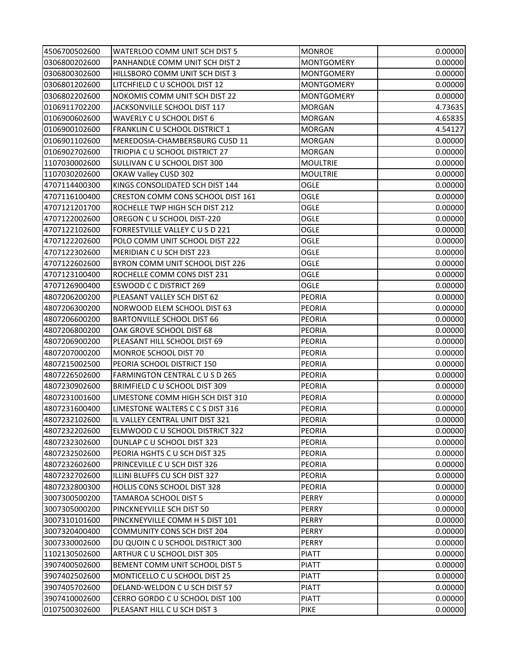| 4506700502600 | WATERLOO COMM UNIT SCH DIST 5      | <b>MONROE</b>     | 0.00000 |
|---------------|------------------------------------|-------------------|---------|
| 0306800202600 | PANHANDLE COMM UNIT SCH DIST 2     | <b>MONTGOMERY</b> | 0.00000 |
| 0306800302600 | HILLSBORO COMM UNIT SCH DIST 3     | <b>MONTGOMERY</b> | 0.00000 |
| 0306801202600 | LITCHFIELD C U SCHOOL DIST 12      | <b>MONTGOMERY</b> | 0.00000 |
| 0306802202600 | NOKOMIS COMM UNIT SCH DIST 22      | <b>MONTGOMERY</b> | 0.00000 |
| 0106911702200 | JACKSONVILLE SCHOOL DIST 117       | <b>MORGAN</b>     | 4.73635 |
| 0106900602600 | WAVERLY C U SCHOOL DIST 6          | <b>MORGAN</b>     | 4.65835 |
| 0106900102600 | FRANKLIN C U SCHOOL DISTRICT 1     | <b>MORGAN</b>     | 4.54127 |
| 0106901102600 | MEREDOSIA-CHAMBERSBURG CUSD 11     | <b>MORGAN</b>     | 0.00000 |
| 0106902702600 | TRIOPIA C U SCHOOL DISTRICT 27     | <b>MORGAN</b>     | 0.00000 |
| 1107030002600 | SULLIVAN C U SCHOOL DIST 300       | <b>MOULTRIE</b>   | 0.00000 |
| 1107030202600 | OKAW Valley CUSD 302               | <b>MOULTRIE</b>   | 0.00000 |
| 4707114400300 | KINGS CONSOLIDATED SCH DIST 144    | OGLE              | 0.00000 |
| 4707116100400 | CRESTON COMM CONS SCHOOL DIST 161  | OGLE              | 0.00000 |
| 4707121201700 | ROCHELLE TWP HIGH SCH DIST 212     | OGLE              | 0.00000 |
| 4707122002600 | OREGON C U SCHOOL DIST-220         | <b>OGLE</b>       | 0.00000 |
| 4707122102600 | FORRESTVILLE VALLEY C U S D 221    | <b>OGLE</b>       | 0.00000 |
| 4707122202600 | POLO COMM UNIT SCHOOL DIST 222     | OGLE              | 0.00000 |
| 4707122302600 | MERIDIAN CU SCH DIST 223           | OGLE              | 0.00000 |
| 4707122602600 | BYRON COMM UNIT SCHOOL DIST 226    | OGLE              | 0.00000 |
| 4707123100400 | ROCHELLE COMM CONS DIST 231        | OGLE              | 0.00000 |
| 4707126900400 | <b>ESWOOD C C DISTRICT 269</b>     | OGLE              | 0.00000 |
| 4807206200200 | PLEASANT VALLEY SCH DIST 62        | <b>PEORIA</b>     | 0.00000 |
| 4807206300200 | NORWOOD ELEM SCHOOL DIST 63        | <b>PEORIA</b>     | 0.00000 |
| 4807206600200 | <b>BARTONVILLE SCHOOL DIST 66</b>  | <b>PEORIA</b>     | 0.00000 |
| 4807206800200 | OAK GROVE SCHOOL DIST 68           | <b>PEORIA</b>     | 0.00000 |
| 4807206900200 | PLEASANT HILL SCHOOL DIST 69       | <b>PEORIA</b>     | 0.00000 |
| 4807207000200 | MONROE SCHOOL DIST 70              | <b>PEORIA</b>     | 0.00000 |
| 4807215002500 | PEORIA SCHOOL DISTRICT 150         | <b>PEORIA</b>     | 0.00000 |
| 4807226502600 | FARMINGTON CENTRAL C U S D 265     | <b>PEORIA</b>     | 0.00000 |
| 4807230902600 | BRIMFIELD C U SCHOOL DIST 309      | PEORIA            | 0.00000 |
| 4807231001600 | LIMESTONE COMM HIGH SCH DIST 310   | <b>PEORIA</b>     | 0.00000 |
| 4807231600400 | LIMESTONE WALTERS C C S DIST 316   | <b>PEORIA</b>     | 0.00000 |
| 4807232102600 | IL VALLEY CENTRAL UNIT DIST 321    | <b>PEORIA</b>     | 0.00000 |
| 4807232202600 | ELMWOOD C U SCHOOL DISTRICT 322    | <b>PEORIA</b>     | 0.00000 |
| 4807232302600 | DUNLAP C U SCHOOL DIST 323         | <b>PEORIA</b>     | 0.00000 |
| 4807232502600 | PEORIA HGHTS C U SCH DIST 325      | <b>PEORIA</b>     | 0.00000 |
| 4807232602600 | PRINCEVILLE C U SCH DIST 326       | <b>PEORIA</b>     | 0.00000 |
| 4807232702600 | ILLINI BLUFFS CU SCH DIST 327      | <b>PEORIA</b>     | 0.00000 |
| 4807232800300 | <b>HOLLIS CONS SCHOOL DIST 328</b> | PEORIA            | 0.00000 |
| 3007300500200 | TAMAROA SCHOOL DIST 5              | <b>PERRY</b>      | 0.00000 |
| 3007305000200 | PINCKNEYVILLE SCH DIST 50          | <b>PERRY</b>      | 0.00000 |
| 3007310101600 | PINCKNEYVILLE COMM H S DIST 101    | <b>PERRY</b>      | 0.00000 |
| 3007320400400 | COMMUNITY CONS SCH DIST 204        | <b>PERRY</b>      | 0.00000 |
| 3007330002600 | DU QUOIN C U SCHOOL DISTRICT 300   | PERRY             | 0.00000 |
| 1102130502600 | ARTHUR C U SCHOOL DIST 305         | <b>PIATT</b>      | 0.00000 |
| 3907400502600 | BEMENT COMM UNIT SCHOOL DIST 5     | <b>PIATT</b>      | 0.00000 |
| 3907402502600 | MONTICELLO C U SCHOOL DIST 25      | <b>PIATT</b>      | 0.00000 |
| 3907405702600 | DELAND-WELDON C U SCH DIST 57      | <b>PIATT</b>      | 0.00000 |
| 3907410002600 | CERRO GORDO C U SCHOOL DIST 100    | <b>PIATT</b>      | 0.00000 |
| 0107500302600 | PLEASANT HILL C U SCH DIST 3       | <b>PIKE</b>       | 0.00000 |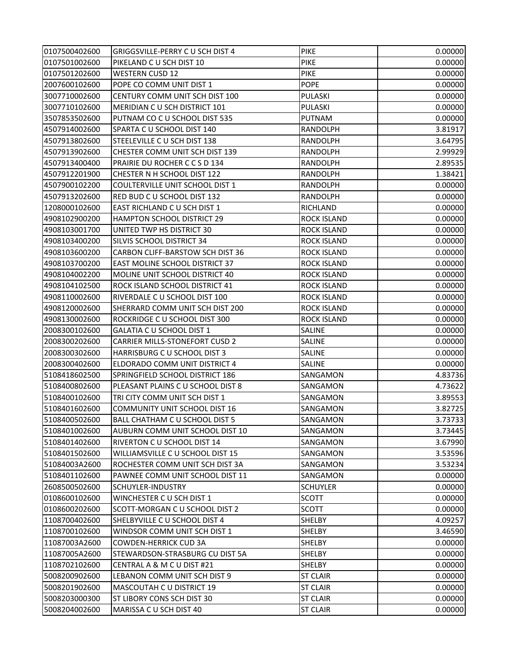| 0107500402600 | <b>GRIGGSVILLE-PERRY C U SCH DIST 4</b> | PIKE               | 0.00000 |
|---------------|-----------------------------------------|--------------------|---------|
| 0107501002600 | PIKELAND CU SCH DIST 10                 | PIKE               | 0.00000 |
| 0107501202600 | <b>WESTERN CUSD 12</b>                  | PIKE               | 0.00000 |
| 2007600102600 | POPE CO COMM UNIT DIST 1                | <b>POPE</b>        | 0.00000 |
| 3007710002600 | CENTURY COMM UNIT SCH DIST 100          | <b>PULASKI</b>     | 0.00000 |
| 3007710102600 | MERIDIAN C U SCH DISTRICT 101           | PULASKI            | 0.00000 |
| 3507853502600 | PUTNAM CO C U SCHOOL DIST 535           | <b>PUTNAM</b>      | 0.00000 |
| 4507914002600 | SPARTA C U SCHOOL DIST 140              | <b>RANDOLPH</b>    | 3.81917 |
| 4507913802600 | STEELEVILLE CU SCH DIST 138             | <b>RANDOLPH</b>    | 3.64795 |
| 4507913902600 | CHESTER COMM UNIT SCH DIST 139          | <b>RANDOLPH</b>    | 2.99929 |
| 4507913400400 | PRAIRIE DU ROCHER CCSD 134              | RANDOLPH           | 2.89535 |
| 4507912201900 | CHESTER N H SCHOOL DIST 122             | RANDOLPH           | 1.38421 |
| 4507900102200 | COULTERVILLE UNIT SCHOOL DIST 1         | <b>RANDOLPH</b>    | 0.00000 |
| 4507913202600 | RED BUD C U SCHOOL DIST 132             | RANDOLPH           | 0.00000 |
| 1208000102600 | EAST RICHLAND C U SCH DIST 1            | RICHLAND           | 0.00000 |
| 4908102900200 | HAMPTON SCHOOL DISTRICT 29              | <b>ROCK ISLAND</b> | 0.00000 |
| 4908103001700 | UNITED TWP HS DISTRICT 30               | <b>ROCK ISLAND</b> | 0.00000 |
| 4908103400200 | <b>SILVIS SCHOOL DISTRICT 34</b>        | <b>ROCK ISLAND</b> | 0.00000 |
| 4908103600200 | <b>CARBON CLIFF-BARSTOW SCH DIST 36</b> | <b>ROCK ISLAND</b> | 0.00000 |
| 4908103700200 | EAST MOLINE SCHOOL DISTRICT 37          | <b>ROCK ISLAND</b> | 0.00000 |
| 4908104002200 | MOLINE UNIT SCHOOL DISTRICT 40          | <b>ROCK ISLAND</b> | 0.00000 |
| 4908104102500 | ROCK ISLAND SCHOOL DISTRICT 41          | <b>ROCK ISLAND</b> | 0.00000 |
| 4908110002600 | RIVERDALE C U SCHOOL DIST 100           | <b>ROCK ISLAND</b> | 0.00000 |
| 4908120002600 | SHERRARD COMM UNIT SCH DIST 200         | <b>ROCK ISLAND</b> | 0.00000 |
| 4908130002600 | ROCKRIDGE C U SCHOOL DIST 300           | <b>ROCK ISLAND</b> | 0.00000 |
| 2008300102600 | GALATIA C U SCHOOL DIST 1               | SALINE             | 0.00000 |
| 2008300202600 | <b>CARRIER MILLS-STONEFORT CUSD 2</b>   | SALINE             | 0.00000 |
| 2008300302600 | HARRISBURG C U SCHOOL DIST 3            | SALINE             | 0.00000 |
| 2008300402600 | ELDORADO COMM UNIT DISTRICT 4           | SALINE             | 0.00000 |
| 5108418602500 | SPRINGFIELD SCHOOL DISTRICT 186         | SANGAMON           | 4.83736 |
| 5108400802600 | PLEASANT PLAINS C U SCHOOL DIST 8       | SANGAMON           | 4.73622 |
| 5108400102600 | TRI CITY COMM UNIT SCH DIST 1           | SANGAMON           | 3.89553 |
| 5108401602600 | <b>COMMUNITY UNIT SCHOOL DIST 16</b>    | SANGAMON           | 3.82725 |
| 5108400502600 | BALL CHATHAM C U SCHOOL DIST 5          | SANGAMON           | 3.73733 |
| 5108401002600 | AUBURN COMM UNIT SCHOOL DIST 10         | SANGAMON           | 3.73445 |
| 5108401402600 | RIVERTON C U SCHOOL DIST 14             | SANGAMON           | 3.67990 |
| 5108401502600 | WILLIAMSVILLE C U SCHOOL DIST 15        | SANGAMON           | 3.53596 |
| 51084003A2600 | ROCHESTER COMM UNIT SCH DIST 3A         | SANGAMON           | 3.53234 |
| 5108401102600 | PAWNEE COMM UNIT SCHOOL DIST 11         | SANGAMON           | 0.00000 |
| 2608500502600 | SCHUYLER-INDUSTRY                       | <b>SCHUYLER</b>    | 0.00000 |
| 0108600102600 | WINCHESTER C U SCH DIST 1               | SCOTT              | 0.00000 |
| 0108600202600 | SCOTT-MORGAN C U SCHOOL DIST 2          | SCOTT              | 0.00000 |
| 1108700402600 | SHELBYVILLE C U SCHOOL DIST 4           | SHELBY             | 4.09257 |
| 1108700102600 | WINDSOR COMM UNIT SCH DIST 1            | SHELBY             | 3.46590 |
| 11087003A2600 | <b>COWDEN-HERRICK CUD 3A</b>            | SHELBY             | 0.00000 |
| 11087005A2600 | STEWARDSON-STRASBURG CU DIST 5A         | <b>SHELBY</b>      | 0.00000 |
| 1108702102600 | CENTRAL A & M C U DIST #21              | <b>SHELBY</b>      | 0.00000 |
| 5008200902600 | LEBANON COMM UNIT SCH DIST 9            | <b>ST CLAIR</b>    | 0.00000 |
| 5008201902600 | MASCOUTAH C U DISTRICT 19               | <b>ST CLAIR</b>    | 0.00000 |
| 5008203000300 | ST LIBORY CONS SCH DIST 30              | <b>ST CLAIR</b>    | 0.00000 |
| 5008204002600 | MARISSA C U SCH DIST 40                 | <b>ST CLAIR</b>    | 0.00000 |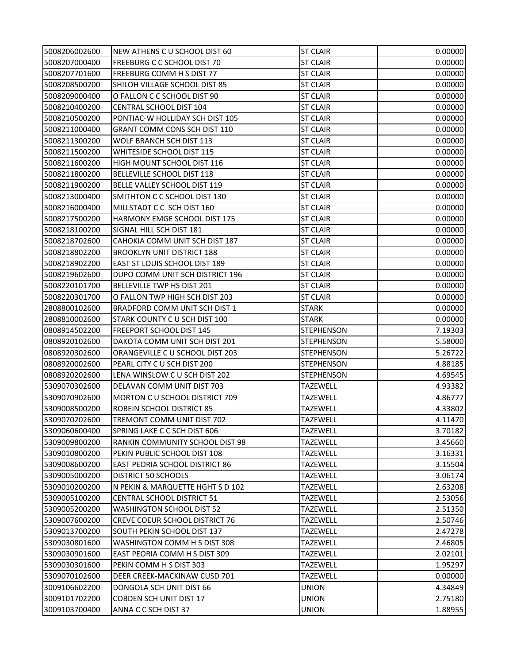| 5008206002600 | NEW ATHENS C U SCHOOL DIST 60          | <b>ST CLAIR</b>   | 0.00000 |
|---------------|----------------------------------------|-------------------|---------|
| 5008207000400 | FREEBURG C C SCHOOL DIST 70            | <b>ST CLAIR</b>   | 0.00000 |
| 5008207701600 | FREEBURG COMM H S DIST 77              | <b>ST CLAIR</b>   | 0.00000 |
| 5008208500200 | SHILOH VILLAGE SCHOOL DIST 85          | <b>ST CLAIR</b>   | 0.00000 |
| 5008209000400 | O FALLON C C SCHOOL DIST 90            | <b>ST CLAIR</b>   | 0.00000 |
| 5008210400200 | <b>CENTRAL SCHOOL DIST 104</b>         | <b>ST CLAIR</b>   | 0.00000 |
| 5008210500200 | PONTIAC-W HOLLIDAY SCH DIST 105        | <b>ST CLAIR</b>   | 0.00000 |
| 5008211000400 | <b>GRANT COMM CONS SCH DIST 110</b>    | <b>ST CLAIR</b>   | 0.00000 |
| 5008211300200 | WOLF BRANCH SCH DIST 113               | <b>ST CLAIR</b>   | 0.00000 |
| 5008211500200 | WHITESIDE SCHOOL DIST 115              | <b>ST CLAIR</b>   | 0.00000 |
| 5008211600200 | HIGH MOUNT SCHOOL DIST 116             | <b>ST CLAIR</b>   | 0.00000 |
| 5008211800200 | BELLEVILLE SCHOOL DIST 118             | <b>ST CLAIR</b>   | 0.00000 |
| 5008211900200 | BELLE VALLEY SCHOOL DIST 119           | <b>ST CLAIR</b>   | 0.00000 |
| 5008213000400 | SMITHTON C C SCHOOL DIST 130           | <b>ST CLAIR</b>   | 0.00000 |
| 5008216000400 | MILLSTADT C C SCH DIST 160             | <b>ST CLAIR</b>   | 0.00000 |
| 5008217500200 | HARMONY EMGE SCHOOL DIST 175           | <b>ST CLAIR</b>   | 0.00000 |
| 5008218100200 | SIGNAL HILL SCH DIST 181               | <b>ST CLAIR</b>   | 0.00000 |
| 5008218702600 | CAHOKIA COMM UNIT SCH DIST 187         | <b>ST CLAIR</b>   | 0.00000 |
| 5008218802200 | <b>BROOKLYN UNIT DISTRICT 188</b>      | <b>ST CLAIR</b>   | 0.00000 |
| 5008218902200 | EAST ST LOUIS SCHOOL DIST 189          | <b>ST CLAIR</b>   | 0.00000 |
| 5008219602600 | DUPO COMM UNIT SCH DISTRICT 196        | <b>ST CLAIR</b>   | 0.00000 |
| 5008220101700 | BELLEVILLE TWP HS DIST 201             | <b>ST CLAIR</b>   | 0.00000 |
| 5008220301700 | O FALLON TWP HIGH SCH DIST 203         | <b>ST CLAIR</b>   | 0.00000 |
| 2808800102600 | <b>BRADFORD COMM UNIT SCH DIST 1</b>   | <b>STARK</b>      | 0.00000 |
| 2808810002600 | STARK COUNTY C U SCH DIST 100          | <b>STARK</b>      | 0.00000 |
| 0808914502200 | <b>FREEPORT SCHOOL DIST 145</b>        | <b>STEPHENSON</b> | 7.19303 |
| 0808920102600 | DAKOTA COMM UNIT SCH DIST 201          | <b>STEPHENSON</b> | 5.58000 |
| 0808920302600 | ORANGEVILLE C U SCHOOL DIST 203        | <b>STEPHENSON</b> | 5.26722 |
| 0808920002600 | PEARL CITY C U SCH DIST 200            | <b>STEPHENSON</b> | 4.88185 |
| 0808920202600 | LENA WINSLOW C U SCH DIST 202          | <b>STEPHENSON</b> | 4.69545 |
| 5309070302600 | DELAVAN COMM UNIT DIST 703             | <b>TAZEWELL</b>   | 4.93382 |
| 5309070902600 | MORTON C U SCHOOL DISTRICT 709         | <b>TAZEWELL</b>   | 4.86777 |
| 5309008500200 | ROBEIN SCHOOL DISTRICT 85              | <b>TAZEWELL</b>   | 4.33802 |
| 5309070202600 | TREMONT COMM UNIT DIST 702             | <b>TAZEWELL</b>   | 4.11470 |
| 5309060600400 | SPRING LAKE C C SCH DIST 606           | <b>TAZEWELL</b>   | 3.70182 |
| 5309009800200 | <b>RANKIN COMMUNITY SCHOOL DIST 98</b> | <b>TAZEWELL</b>   | 3.45660 |
| 5309010800200 | PEKIN PUBLIC SCHOOL DIST 108           | <b>TAZEWELL</b>   | 3.16331 |
| 5309008600200 | <b>EAST PEORIA SCHOOL DISTRICT 86</b>  | <b>TAZEWELL</b>   | 3.15504 |
| 5309005000200 | <b>DISTRICT 50 SCHOOLS</b>             | <b>TAZEWELL</b>   | 3.06174 |
| 5309010200200 | N PEKIN & MARQUETTE HGHT S D 102       | <b>TAZEWELL</b>   | 2.63208 |
| 5309005100200 | CENTRAL SCHOOL DISTRICT 51             | <b>TAZEWELL</b>   | 2.53056 |
| 5309005200200 | <b>WASHINGTON SCHOOL DIST 52</b>       | <b>TAZEWELL</b>   | 2.51350 |
| 5309007600200 | <b>CREVE COEUR SCHOOL DISTRICT 76</b>  | <b>TAZEWELL</b>   | 2.50746 |
| 5309013700200 | SOUTH PEKIN SCHOOL DIST 137            | <b>TAZEWELL</b>   | 2.47278 |
| 5309030801600 | WASHINGTON COMM H S DIST 308           | <b>TAZEWELL</b>   | 2.46805 |
| 5309030901600 | EAST PEORIA COMM H S DIST 309          | TAZEWELL          | 2.02101 |
| 5309030301600 | PEKIN COMM H S DIST 303                | <b>TAZEWELL</b>   | 1.95297 |
| 5309070102600 | DEER CREEK-MACKINAW CUSD 701           | <b>TAZEWELL</b>   | 0.00000 |
| 3009106602200 | DONGOLA SCH UNIT DIST 66               | <b>UNION</b>      | 4.34849 |
| 3009101702200 | <b>COBDEN SCH UNIT DIST 17</b>         | <b>UNION</b>      | 2.75180 |
| 3009103700400 | ANNA C C SCH DIST 37                   | <b>UNION</b>      | 1.88955 |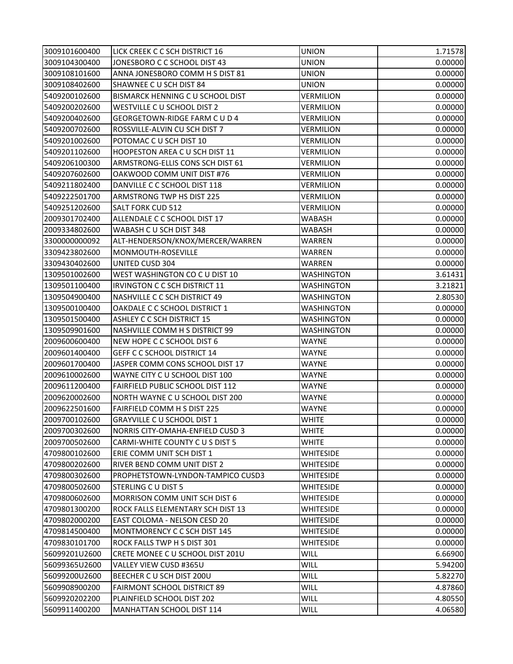| 3009101600400 | LICK CREEK C C SCH DISTRICT 16          | <b>UNION</b>      | 1.71578 |
|---------------|-----------------------------------------|-------------------|---------|
| 3009104300400 | JONESBORO C C SCHOOL DIST 43            | <b>UNION</b>      | 0.00000 |
| 3009108101600 | ANNA JONESBORO COMM H S DIST 81         | <b>UNION</b>      | 0.00000 |
| 3009108402600 | SHAWNEE C U SCH DIST 84                 | <b>UNION</b>      | 0.00000 |
| 5409200102600 | BISMARCK HENNING C U SCHOOL DIST        | <b>VERMILION</b>  | 0.00000 |
| 5409200202600 | WESTVILLE C U SCHOOL DIST 2             | <b>VERMILION</b>  | 0.00000 |
| 5409200402600 | <b>GEORGETOWN-RIDGE FARM CUD4</b>       | <b>VERMILION</b>  | 0.00000 |
| 5409200702600 | ROSSVILLE-ALVIN CU SCH DIST 7           | <b>VERMILION</b>  | 0.00000 |
| 5409201002600 | POTOMAC C U SCH DIST 10                 | <b>VERMILION</b>  | 0.00000 |
| 5409201102600 | <b>HOOPESTON AREA C U SCH DIST 11</b>   | <b>VERMILION</b>  | 0.00000 |
| 5409206100300 | ARMSTRONG-ELLIS CONS SCH DIST 61        | <b>VERMILION</b>  | 0.00000 |
| 5409207602600 | OAKWOOD COMM UNIT DIST #76              | <b>VERMILION</b>  | 0.00000 |
| 5409211802400 | DANVILLE C C SCHOOL DIST 118            | <b>VERMILION</b>  | 0.00000 |
| 5409222501700 | ARMSTRONG TWP HS DIST 225               | <b>VERMILION</b>  | 0.00000 |
| 5409251202600 | <b>SALT FORK CUD 512</b>                | <b>VERMILION</b>  | 0.00000 |
| 2009301702400 | ALLENDALE C C SCHOOL DIST 17            | <b>WABASH</b>     | 0.00000 |
| 2009334802600 | WABASH C U SCH DIST 348                 | <b>WABASH</b>     | 0.00000 |
| 3300000000092 | ALT-HENDERSON/KNOX/MERCER/WARREN        | WARREN            | 0.00000 |
| 3309423802600 | MONMOUTH-ROSEVILLE                      | WARREN            | 0.00000 |
| 3309430402600 | UNITED CUSD 304                         | WARREN            | 0.00000 |
| 1309501002600 | WEST WASHINGTON CO C U DIST 10          | <b>WASHINGTON</b> | 3.61431 |
| 1309501100400 | IRVINGTON C C SCH DISTRICT 11           | <b>WASHINGTON</b> | 3.21821 |
| 1309504900400 | NASHVILLE C C SCH DISTRICT 49           | <b>WASHINGTON</b> | 2.80530 |
| 1309500100400 | OAKDALE C C SCHOOL DISTRICT 1           | <b>WASHINGTON</b> | 0.00000 |
| 1309501500400 | <b>ASHLEY C C SCH DISTRICT 15</b>       | <b>WASHINGTON</b> | 0.00000 |
| 1309509901600 | NASHVILLE COMM H S DISTRICT 99          | <b>WASHINGTON</b> | 0.00000 |
| 2009600600400 | NEW HOPE C C SCHOOL DIST 6              | WAYNE             | 0.00000 |
| 2009601400400 | <b>GEFF C C SCHOOL DISTRICT 14</b>      | WAYNE             | 0.00000 |
| 2009601700400 | JASPER COMM CONS SCHOOL DIST 17         | <b>WAYNE</b>      | 0.00000 |
| 2009610002600 | WAYNE CITY C U SCHOOL DIST 100          | WAYNE             | 0.00000 |
| 2009611200400 | <b>FAIRFIELD PUBLIC SCHOOL DIST 112</b> | <b>WAYNE</b>      | 0.00000 |
| 2009620002600 | NORTH WAYNE C U SCHOOL DIST 200         | <b>WAYNE</b>      | 0.00000 |
| 2009622501600 | FAIRFIELD COMM H S DIST 225             | WAYNE             | 0.00000 |
| 2009700102600 | <b>GRAYVILLE C U SCHOOL DIST 1</b>      | <b>WHITE</b>      | 0.00000 |
| 2009700302600 | NORRIS CITY-OMAHA-ENFIELD CUSD 3        | <b>WHITE</b>      | 0.00000 |
| 2009700502600 | CARMI-WHITE COUNTY CUS DIST 5           | <b>WHITE</b>      | 0.00000 |
| 4709800102600 | ERIE COMM UNIT SCH DIST 1               | <b>WHITESIDE</b>  | 0.00000 |
| 4709800202600 | RIVER BEND COMM UNIT DIST 2             | <b>WHITESIDE</b>  | 0.00000 |
| 4709800302600 | PROPHETSTOWN-LYNDON-TAMPICO CUSD3       | <b>WHITESIDE</b>  | 0.00000 |
| 4709800502600 | STERLING C U DIST 5                     | <b>WHITESIDE</b>  | 0.00000 |
| 4709800602600 | MORRISON COMM UNIT SCH DIST 6           | <b>WHITESIDE</b>  | 0.00000 |
| 4709801300200 | ROCK FALLS ELEMENTARY SCH DIST 13       | <b>WHITESIDE</b>  | 0.00000 |
| 4709802000200 | EAST COLOMA - NELSON CESD 20            | WHITESIDE         | 0.00000 |
| 4709814500400 | MONTMORENCY C C SCH DIST 145            | <b>WHITESIDE</b>  | 0.00000 |
| 4709830101700 | ROCK FALLS TWP H S DIST 301             | WHITESIDE         | 0.00000 |
| 56099201U2600 | CRETE MONEE C U SCHOOL DIST 201U        | <b>WILL</b>       | 6.66900 |
| 56099365U2600 | VALLEY VIEW CUSD #365U                  | WILL              | 5.94200 |
| 56099200U2600 | BEECHER C U SCH DIST 200U               | WILL              | 5.82270 |
| 5609908900200 | <b>FAIRMONT SCHOOL DISTRICT 89</b>      | WILL              | 4.87860 |
| 5609920202200 | PLAINFIELD SCHOOL DIST 202              | WILL              | 4.80550 |
| 5609911400200 | MANHATTAN SCHOOL DIST 114               | <b>WILL</b>       | 4.06580 |